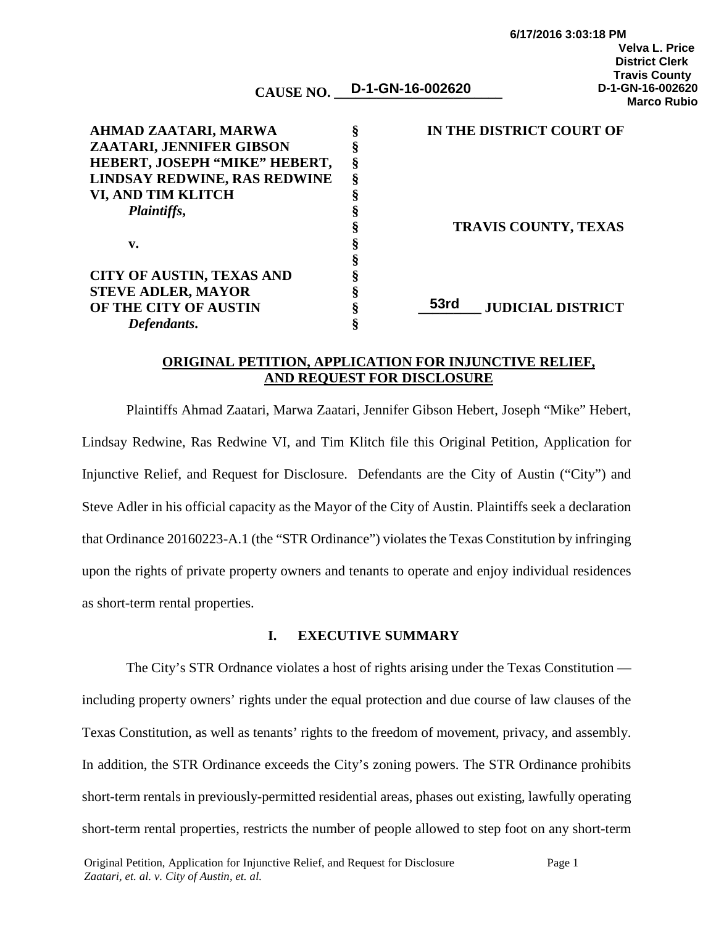| <b>CAUSE NO.</b> | D-1-GN-16-002620 |
|------------------|------------------|
|                  |                  |

| AHMAD ZAATARI, MARWA             |   | IN THE DISTRICT COURT OF                |
|----------------------------------|---|-----------------------------------------|
| ZAATARI, JENNIFER GIBSON         |   |                                         |
| HEBERT, JOSEPH "MIKE" HEBERT,    | ş |                                         |
| LINDSAY REDWINE, RAS REDWINE     | Š |                                         |
| VI, AND TIM KLITCH               |   |                                         |
| Plaintiffs,                      |   |                                         |
|                                  |   | <b>TRAVIS COUNTY, TEXAS</b>             |
| v.                               |   |                                         |
|                                  |   |                                         |
| <b>CITY OF AUSTIN, TEXAS AND</b> |   |                                         |
| <b>STEVE ADLER, MAYOR</b>        |   |                                         |
| OF THE CITY OF AUSTIN            |   | <b>53rd</b><br><b>JUDICIAL DISTRICT</b> |
| Defendants.                      |   |                                         |

#### **ORIGINAL PETITION, APPLICATION FOR INJUNCTIVE RELIEF, AND REQUEST FOR DISCLOSURE**

Plaintiffs Ahmad Zaatari, Marwa Zaatari, Jennifer Gibson Hebert, Joseph "Mike" Hebert, Lindsay Redwine, Ras Redwine VI, and Tim Klitch file this Original Petition, Application for Injunctive Relief, and Request for Disclosure. Defendants are the City of Austin ("City") and Steve Adler in his official capacity as the Mayor of the City of Austin. Plaintiffs seek a declaration that Ordinance 20160223-A.1 (the "STR Ordinance") violates the Texas Constitution by infringing upon the rights of private property owners and tenants to operate and enjoy individual residences as short-term rental properties.

## **I. EXECUTIVE SUMMARY**

The City's STR Ordnance violates a host of rights arising under the Texas Constitution including property owners' rights under the equal protection and due course of law clauses of the Texas Constitution, as well as tenants' rights to the freedom of movement, privacy, and assembly. In addition, the STR Ordinance exceeds the City's zoning powers. The STR Ordinance prohibits short-term rentals in previously-permitted residential areas, phases out existing, lawfully operating short-term rental properties, restricts the number of people allowed to step foot on any short-term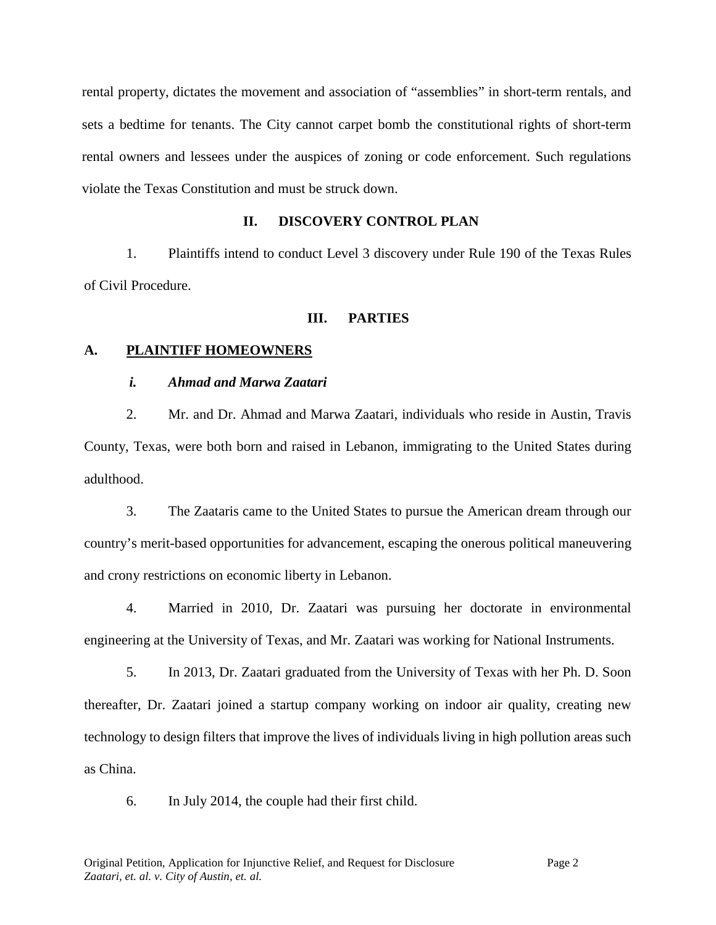rental property, dictates the movement and association of "assemblies" in short-term rentals, and sets a bedtime for tenants. The City cannot carpet bomb the constitutional rights of short-term rental owners and lessees under the auspices of zoning or code enforcement. Such regulations violate the Texas Constitution and must be struck down.

## **II. DISCOVERY CONTROL PLAN**

1. Plaintiffs intend to conduct Level 3 discovery under Rule 190 of the Texas Rules of Civil Procedure.

## **III. PARTIES**

# **A. PLAINTIFF HOMEOWNERS**

## *i. Ahmad and Marwa Zaatari*

2. Mr. and Dr. Ahmad and Marwa Zaatari, individuals who reside in Austin, Travis County, Texas, were both born and raised in Lebanon, immigrating to the United States during adulthood.

3. The Zaataris came to the United States to pursue the American dream through our country's merit-based opportunities for advancement, escaping the onerous political maneuvering and crony restrictions on economic liberty in Lebanon.

4. Married in 2010, Dr. Zaatari was pursuing her doctorate in environmental engineering at the University of Texas, and Mr. Zaatari was working for National Instruments.

5. In 2013, Dr. Zaatari graduated from the University of Texas with her Ph. D. Soon thereafter, Dr. Zaatari joined a startup company working on indoor air quality, creating new technology to design filters that improve the lives of individuals living in high pollution areas such as China.

6. In July 2014, the couple had their first child.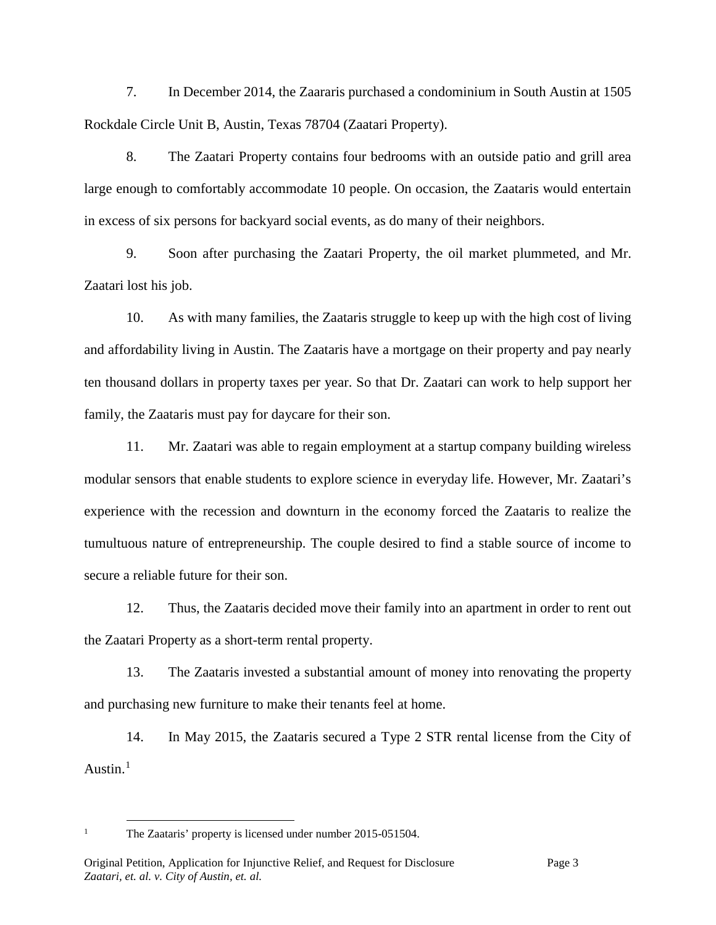7. In December 2014, the Zaararis purchased a condominium in South Austin at 1505 Rockdale Circle Unit B, Austin, Texas 78704 (Zaatari Property).

8. The Zaatari Property contains four bedrooms with an outside patio and grill area large enough to comfortably accommodate 10 people. On occasion, the Zaataris would entertain in excess of six persons for backyard social events, as do many of their neighbors.

9. Soon after purchasing the Zaatari Property, the oil market plummeted, and Mr. Zaatari lost his job.

10. As with many families, the Zaataris struggle to keep up with the high cost of living and affordability living in Austin. The Zaataris have a mortgage on their property and pay nearly ten thousand dollars in property taxes per year. So that Dr. Zaatari can work to help support her family, the Zaataris must pay for daycare for their son.

11. Mr. Zaatari was able to regain employment at a startup company building wireless modular sensors that enable students to explore science in everyday life. However, Mr. Zaatari's experience with the recession and downturn in the economy forced the Zaataris to realize the tumultuous nature of entrepreneurship. The couple desired to find a stable source of income to secure a reliable future for their son.

12. Thus, the Zaataris decided move their family into an apartment in order to rent out the Zaatari Property as a short-term rental property.

13. The Zaataris invested a substantial amount of money into renovating the property and purchasing new furniture to make their tenants feel at home.

14. In May 2015, the Zaataris secured a Type 2 STR rental license from the City of Austin. $<sup>1</sup>$  $<sup>1</sup>$  $<sup>1</sup>$ </sup>

<span id="page-2-0"></span><sup>&</sup>lt;sup>1</sup> The Zaataris' property is licensed under number 2015-051504.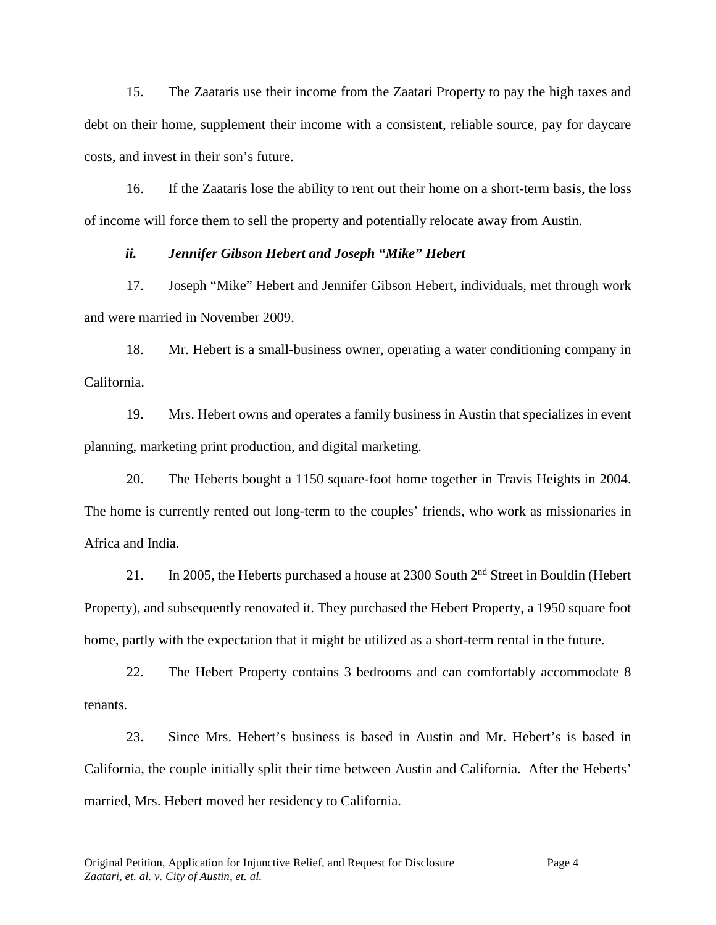15. The Zaataris use their income from the Zaatari Property to pay the high taxes and debt on their home, supplement their income with a consistent, reliable source, pay for daycare costs, and invest in their son's future.

16. If the Zaataris lose the ability to rent out their home on a short-term basis, the loss of income will force them to sell the property and potentially relocate away from Austin.

## *ii. Jennifer Gibson Hebert and Joseph "Mike" Hebert*

17. Joseph "Mike" Hebert and Jennifer Gibson Hebert, individuals, met through work and were married in November 2009.

18. Mr. Hebert is a small-business owner, operating a water conditioning company in California.

19. Mrs. Hebert owns and operates a family business in Austin that specializes in event planning, marketing print production, and digital marketing.

20. The Heberts bought a 1150 square-foot home together in Travis Heights in 2004. The home is currently rented out long-term to the couples' friends, who work as missionaries in Africa and India.

21. In 2005, the Heberts purchased a house at 2300 South 2<sup>nd</sup> Street in Bouldin (Hebert Property), and subsequently renovated it. They purchased the Hebert Property, a 1950 square foot home, partly with the expectation that it might be utilized as a short-term rental in the future.

22. The Hebert Property contains 3 bedrooms and can comfortably accommodate 8 tenants.

23. Since Mrs. Hebert's business is based in Austin and Mr. Hebert's is based in California, the couple initially split their time between Austin and California. After the Heberts' married, Mrs. Hebert moved her residency to California.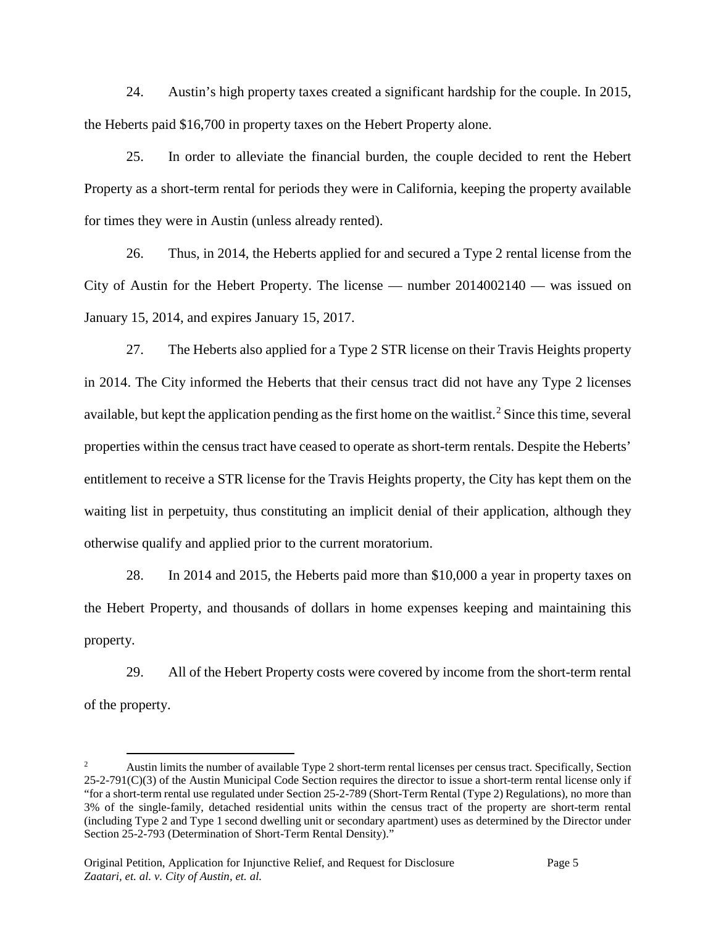24. Austin's high property taxes created a significant hardship for the couple. In 2015, the Heberts paid \$16,700 in property taxes on the Hebert Property alone.

25. In order to alleviate the financial burden, the couple decided to rent the Hebert Property as a short-term rental for periods they were in California, keeping the property available for times they were in Austin (unless already rented).

26. Thus, in 2014, the Heberts applied for and secured a Type 2 rental license from the City of Austin for the Hebert Property. The license — number 2014002140 — was issued on January 15, 2014, and expires January 15, 2017.

27. The Heberts also applied for a Type 2 STR license on their Travis Heights property in 2014. The City informed the Heberts that their census tract did not have any Type 2 licenses available, but kept the application pending as the first home on the waitlist.<sup>[2](#page-4-0)</sup> Since this time, several properties within the census tract have ceased to operate as short-term rentals. Despite the Heberts' entitlement to receive a STR license for the Travis Heights property, the City has kept them on the waiting list in perpetuity, thus constituting an implicit denial of their application, although they otherwise qualify and applied prior to the current moratorium.

28. In 2014 and 2015, the Heberts paid more than \$10,000 a year in property taxes on the Hebert Property, and thousands of dollars in home expenses keeping and maintaining this property.

29. All of the Hebert Property costs were covered by income from the short-term rental of the property.

<span id="page-4-0"></span> <sup>2</sup> Austin limits the number of available Type 2 short-term rental licenses per census tract. Specifically, Section 25-2-791(C)(3) of the Austin Municipal Code Section requires the director to issue a short-term rental license only if "for a short-term rental use regulated under Section 25-2-789 (Short-Term Rental (Type 2) Regulations), no more than 3% of the single-family, detached residential units within the census tract of the property are short-term rental (including Type 2 and Type 1 second dwelling unit or secondary apartment) uses as determined by the Director under Section 25-2-793 (Determination of Short-Term Rental Density)."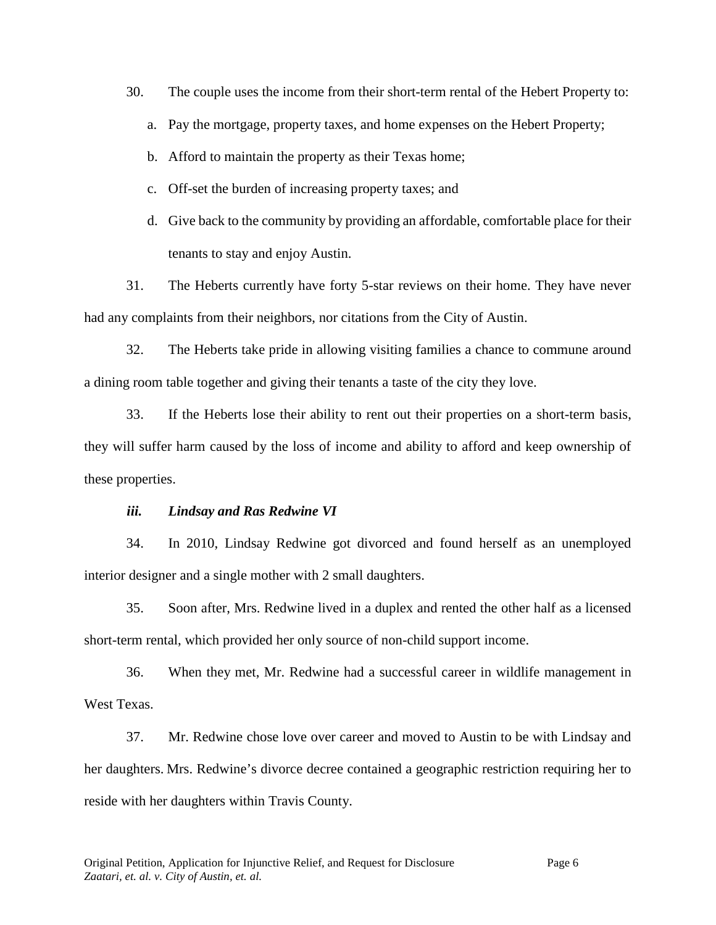30. The couple uses the income from their short-term rental of the Hebert Property to:

- a. Pay the mortgage, property taxes, and home expenses on the Hebert Property;
- b. Afford to maintain the property as their Texas home;
- c. Off-set the burden of increasing property taxes; and
- d. Give back to the community by providing an affordable, comfortable place for their tenants to stay and enjoy Austin.

31. The Heberts currently have forty 5-star reviews on their home. They have never had any complaints from their neighbors, nor citations from the City of Austin.

32. The Heberts take pride in allowing visiting families a chance to commune around a dining room table together and giving their tenants a taste of the city they love.

33. If the Heberts lose their ability to rent out their properties on a short-term basis, they will suffer harm caused by the loss of income and ability to afford and keep ownership of these properties.

### *iii. Lindsay and Ras Redwine VI*

34. In 2010, Lindsay Redwine got divorced and found herself as an unemployed interior designer and a single mother with 2 small daughters.

35. Soon after, Mrs. Redwine lived in a duplex and rented the other half as a licensed short-term rental, which provided her only source of non-child support income.

36. When they met, Mr. Redwine had a successful career in wildlife management in West Texas.

37. Mr. Redwine chose love over career and moved to Austin to be with Lindsay and her daughters. Mrs. Redwine's divorce decree contained a geographic restriction requiring her to reside with her daughters within Travis County.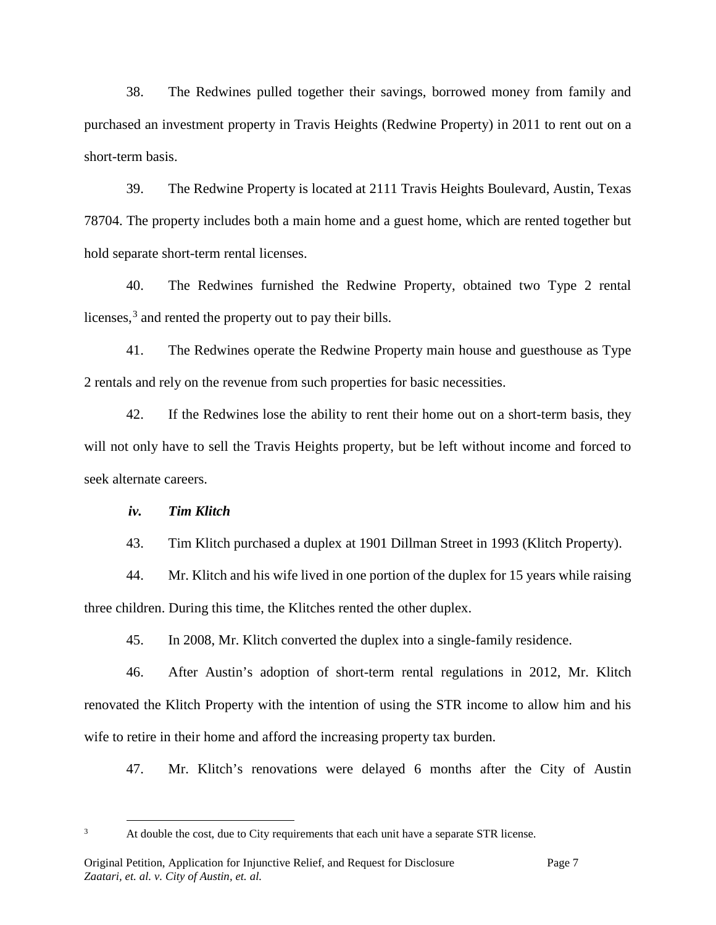38. The Redwines pulled together their savings, borrowed money from family and purchased an investment property in Travis Heights (Redwine Property) in 2011 to rent out on a short-term basis.

39. The Redwine Property is located at 2111 Travis Heights Boulevard, Austin, Texas 78704. The property includes both a main home and a guest home, which are rented together but hold separate short-term rental licenses.

40. The Redwines furnished the Redwine Property, obtained two Type 2 rental licenses,<sup>[3](#page-6-0)</sup> and rented the property out to pay their bills.

41. The Redwines operate the Redwine Property main house and guesthouse as Type 2 rentals and rely on the revenue from such properties for basic necessities.

42. If the Redwines lose the ability to rent their home out on a short-term basis, they will not only have to sell the Travis Heights property, but be left without income and forced to seek alternate careers.

#### *iv. Tim Klitch*

43. Tim Klitch purchased a duplex at 1901 Dillman Street in 1993 (Klitch Property).

44. Mr. Klitch and his wife lived in one portion of the duplex for 15 years while raising three children. During this time, the Klitches rented the other duplex.

45. In 2008, Mr. Klitch converted the duplex into a single-family residence.

46. After Austin's adoption of short-term rental regulations in 2012, Mr. Klitch renovated the Klitch Property with the intention of using the STR income to allow him and his wife to retire in their home and afford the increasing property tax burden.

47. Mr. Klitch's renovations were delayed 6 months after the City of Austin

<span id="page-6-0"></span><sup>&</sup>lt;sup>3</sup> At double the cost, due to City requirements that each unit have a separate STR license.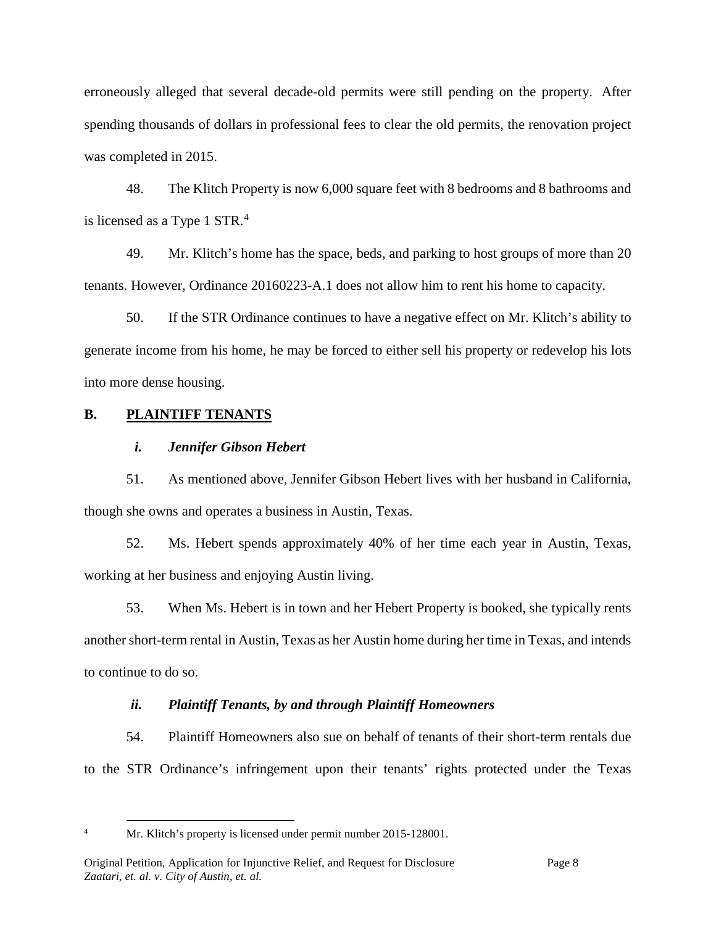erroneously alleged that several decade-old permits were still pending on the property. After spending thousands of dollars in professional fees to clear the old permits, the renovation project was completed in 2015.

48. The Klitch Property is now 6,000 square feet with 8 bedrooms and 8 bathrooms and is licensed as a Type 1 STR.<sup>[4](#page-7-0)</sup>

49. Mr. Klitch's home has the space, beds, and parking to host groups of more than 20 tenants. However, Ordinance 20160223-A.1 does not allow him to rent his home to capacity.

50. If the STR Ordinance continues to have a negative effect on Mr. Klitch's ability to generate income from his home, he may be forced to either sell his property or redevelop his lots into more dense housing.

# **B. PLAINTIFF TENANTS**

# *i. Jennifer Gibson Hebert*

51. As mentioned above, Jennifer Gibson Hebert lives with her husband in California, though she owns and operates a business in Austin, Texas.

52. Ms. Hebert spends approximately 40% of her time each year in Austin, Texas, working at her business and enjoying Austin living.

53. When Ms. Hebert is in town and her Hebert Property is booked, she typically rents another short-term rental in Austin, Texas as her Austin home during her time in Texas, and intends to continue to do so.

# *ii. Plaintiff Tenants, by and through Plaintiff Homeowners*

54. Plaintiff Homeowners also sue on behalf of tenants of their short-term rentals due to the STR Ordinance's infringement upon their tenants' rights protected under the Texas

<span id="page-7-0"></span>

<sup>&</sup>lt;sup>4</sup> Mr. Klitch's property is licensed under permit number 2015-128001.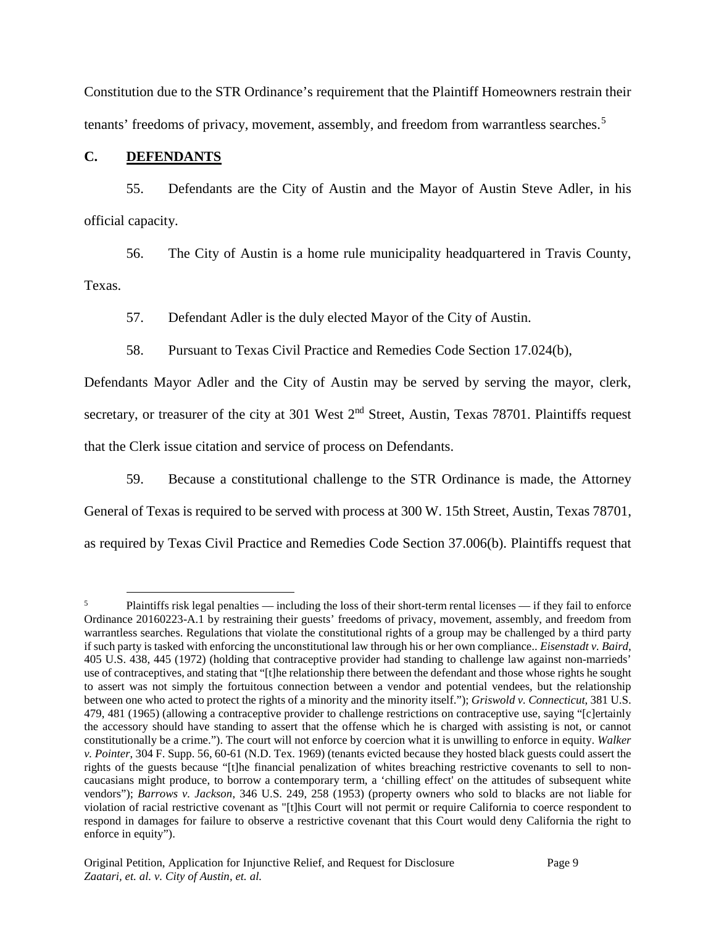Constitution due to the STR Ordinance's requirement that the Plaintiff Homeowners restrain their tenants' freedoms of privacy, movement, assembly, and freedom from warrantless searches.<sup>[5](#page-8-0)</sup>

## **C. DEFENDANTS**

55. Defendants are the City of Austin and the Mayor of Austin Steve Adler, in his official capacity.

56. The City of Austin is a home rule municipality headquartered in Travis County, Texas.

57. Defendant Adler is the duly elected Mayor of the City of Austin.

58. Pursuant to Texas Civil Practice and Remedies Code Section 17.024(b),

Defendants Mayor Adler and the City of Austin may be served by serving the mayor, clerk, secretary, or treasurer of the city at 301 West  $2<sup>nd</sup>$  Street, Austin, Texas 78701. Plaintiffs request that the Clerk issue citation and service of process on Defendants.

59. Because a constitutional challenge to the STR Ordinance is made, the Attorney General of Texas is required to be served with process at 300 W. 15th Street, Austin, Texas 78701, as required by Texas Civil Practice and Remedies Code Section 37.006(b). Plaintiffs request that

<span id="page-8-0"></span><sup>&</sup>lt;sup>5</sup> Plaintiffs risk legal penalties — including the loss of their short-term rental licenses — if they fail to enforce Ordinance 20160223-A.1 by restraining their guests' freedoms of privacy, movement, assembly, and freedom from warrantless searches. Regulations that violate the constitutional rights of a group may be challenged by a third party if such party is tasked with enforcing the unconstitutional law through his or her own compliance.. *Eisenstadt v. Baird*, 405 U.S. 438, 445 (1972) (holding that contraceptive provider had standing to challenge law against non-marrieds' use of contraceptives, and stating that "[t]he relationship there between the defendant and those whose rights he sought to assert was not simply the fortuitous connection between a vendor and potential vendees, but the relationship between one who acted to protect the rights of a minority and the minority itself."); *Griswold v. Connecticut*, 381 U.S. 479, 481 (1965) (allowing a contraceptive provider to challenge restrictions on contraceptive use, saying "[c]ertainly the accessory should have standing to assert that the offense which he is charged with assisting is not, or cannot constitutionally be a crime."). The court will not enforce by coercion what it is unwilling to enforce in equity. *Walker v. Pointer*, 304 F. Supp. 56, 60-61 (N.D. Tex. 1969) (tenants evicted because they hosted black guests could assert the rights of the guests because "[t]he financial penalization of whites breaching restrictive covenants to sell to noncaucasians might produce, to borrow a contemporary term, a 'chilling effect' on the attitudes of subsequent white vendors"); *Barrows v. Jackson*, 346 U.S. 249, 258 (1953) (property owners who sold to blacks are not liable for violation of racial restrictive covenant as "[t]his Court will not permit or require California to coerce respondent to respond in damages for failure to observe a restrictive covenant that this Court would deny California the right to enforce in equity").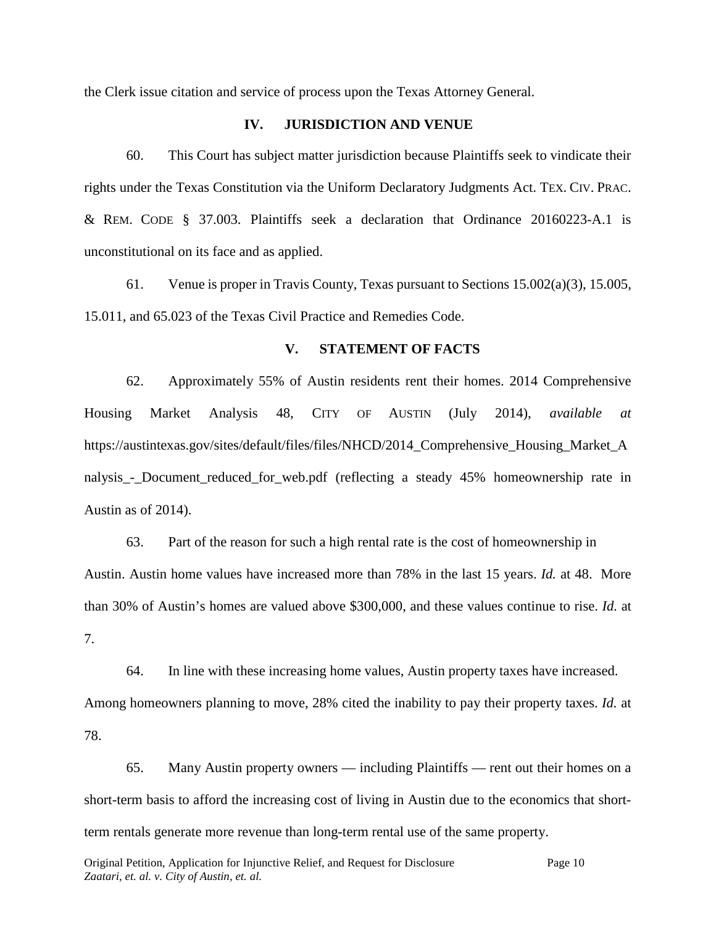the Clerk issue citation and service of process upon the Texas Attorney General.

### **IV. JURISDICTION AND VENUE**

60. This Court has subject matter jurisdiction because Plaintiffs seek to vindicate their rights under the Texas Constitution via the Uniform Declaratory Judgments Act. TEX. CIV. PRAC. & REM. CODE § 37.003. Plaintiffs seek a declaration that Ordinance 20160223-A.1 is unconstitutional on its face and as applied.

61. Venue is proper in Travis County, Texas pursuant to Sections 15.002(a)(3), 15.005, 15.011, and 65.023 of the Texas Civil Practice and Remedies Code.

### **V. STATEMENT OF FACTS**

62. Approximately 55% of Austin residents rent their homes. 2014 Comprehensive Housing Market Analysis 48, CITY OF AUSTIN (July 2014), *available at*  https://austintexas.gov/sites/default/files/files/NHCD/2014\_Comprehensive\_Housing\_Market\_A nalysis\_-\_Document\_reduced\_for\_web.pdf (reflecting a steady 45% homeownership rate in Austin as of 2014).

63. Part of the reason for such a high rental rate is the cost of homeownership in Austin. Austin home values have increased more than 78% in the last 15 years. *Id.* at 48. More than 30% of Austin's homes are valued above \$300,000, and these values continue to rise. *Id.* at 7.

64. In line with these increasing home values, Austin property taxes have increased. Among homeowners planning to move, 28% cited the inability to pay their property taxes. *Id.* at 78.

65. Many Austin property owners — including Plaintiffs — rent out their homes on a short-term basis to afford the increasing cost of living in Austin due to the economics that shortterm rentals generate more revenue than long-term rental use of the same property.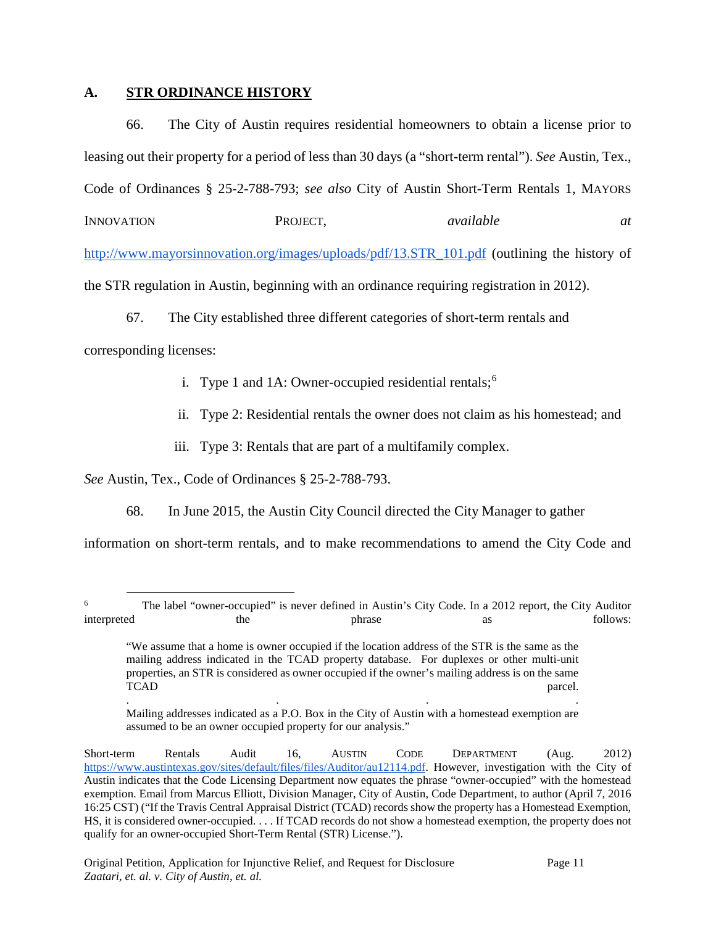## **A. STR ORDINANCE HISTORY**

66. The City of Austin requires residential homeowners to obtain a license prior to leasing out their property for a period of less than 30 days (a "short-term rental"). *See* Austin, Tex., Code of Ordinances § 25-2-788-793; *see also* City of Austin Short-Term Rentals 1, MAYORS

INNOVATION PROJECT, *available at* 

[http://www.mayorsinnovation.org/images/uploads/pdf/13.STR\\_101.pdf](http://www.mayorsinnovation.org/images/uploads/pdf/13.STR_101.pdf) (outlining the history of

the STR regulation in Austin, beginning with an ordinance requiring registration in 2012).

67. The City established three different categories of short-term rentals and

corresponding licenses:

- i. Type 1 and 1A: Owner-occupied residential rentals; $<sup>6</sup>$  $<sup>6</sup>$  $<sup>6</sup>$ </sup>
- ii. Type 2: Residential rentals the owner does not claim as his homestead; and
- iii. Type 3: Rentals that are part of a multifamily complex.

*See* Austin, Tex., Code of Ordinances § 25-2-788-793.

68. In June 2015, the Austin City Council directed the City Manager to gather

information on short-term rentals, and to make recommendations to amend the City Code and

. . . . Mailing addresses indicated as a P.O. Box in the City of Austin with a homestead exemption are assumed to be an owner occupied property for our analysis."

<span id="page-10-0"></span><sup>&</sup>lt;sup>6</sup> The label "owner-occupied" is never defined in Austin's City Code. In a 2012 report, the City Auditor interpreted as follows: interpreted the the phrase as follows:

<sup>&</sup>quot;We assume that a home is owner occupied if the location address of the STR is the same as the mailing address indicated in the TCAD property database. For duplexes or other multi-unit properties, an STR is considered as owner occupied if the owner's mailing address is on the same TCAD parcel.

Short-term Rentals Audit 16, AUSTIN CODE DEPARTMENT (Aug. 2012) [https://www.austintexas.gov/sites/default/files/files/Auditor/au12114.pdf.](https://www.austintexas.gov/sites/default/files/files/Auditor/au12114.pdf) However, investigation with the City of Austin indicates that the Code Licensing Department now equates the phrase "owner-occupied" with the homestead exemption. Email from Marcus Elliott, Division Manager, City of Austin, Code Department, to author (April 7, 2016 16:25 CST) ("If the Travis Central Appraisal District (TCAD) records show the property has a Homestead Exemption, HS, it is considered owner-occupied. . . . If TCAD records do not show a homestead exemption, the property does not qualify for an owner-occupied Short-Term Rental (STR) License.").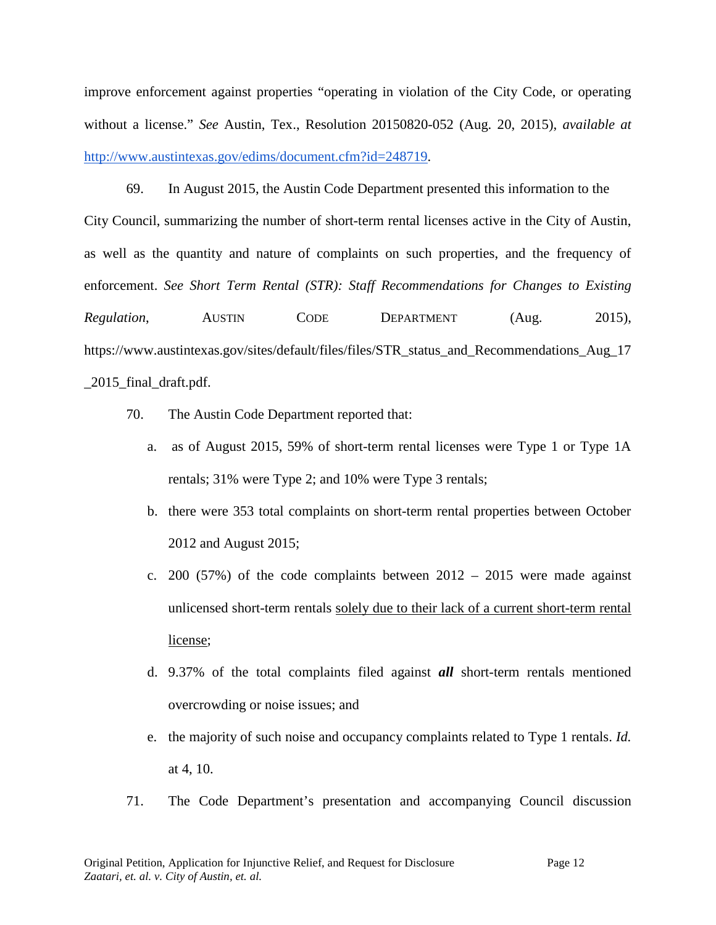improve enforcement against properties "operating in violation of the City Code, or operating without a license." *See* Austin, Tex., Resolution 20150820-052 (Aug. 20, 2015), *available at* [http://www.austintexas.gov/edims/document.cfm?id=248719.](http://www.austintexas.gov/edims/document.cfm?id=248719)

69. In August 2015, the Austin Code Department presented this information to the City Council, summarizing the number of short-term rental licenses active in the City of Austin, as well as the quantity and nature of complaints on such properties, and the frequency of enforcement. *See Short Term Rental (STR): Staff Recommendations for Changes to Existing Regulation*, **AUSTIN** CODE **DEPARTMENT** (Aug. 2015), https://www.austintexas.gov/sites/default/files/files/STR\_status\_and\_Recommendations\_Aug\_17 \_2015\_final\_draft.pdf.

- 70. The Austin Code Department reported that:
	- a. as of August 2015, 59% of short-term rental licenses were Type 1 or Type 1A rentals; 31% were Type 2; and 10% were Type 3 rentals;
	- b. there were 353 total complaints on short-term rental properties between October 2012 and August 2015;
	- c. 200 (57%) of the code complaints between  $2012 2015$  were made against unlicensed short-term rentals solely due to their lack of a current short-term rental license;
	- d. 9.37% of the total complaints filed against *all* short-term rentals mentioned overcrowding or noise issues; and
	- e. the majority of such noise and occupancy complaints related to Type 1 rentals. *Id.*  at 4, 10.
- 71. The Code Department's presentation and accompanying Council discussion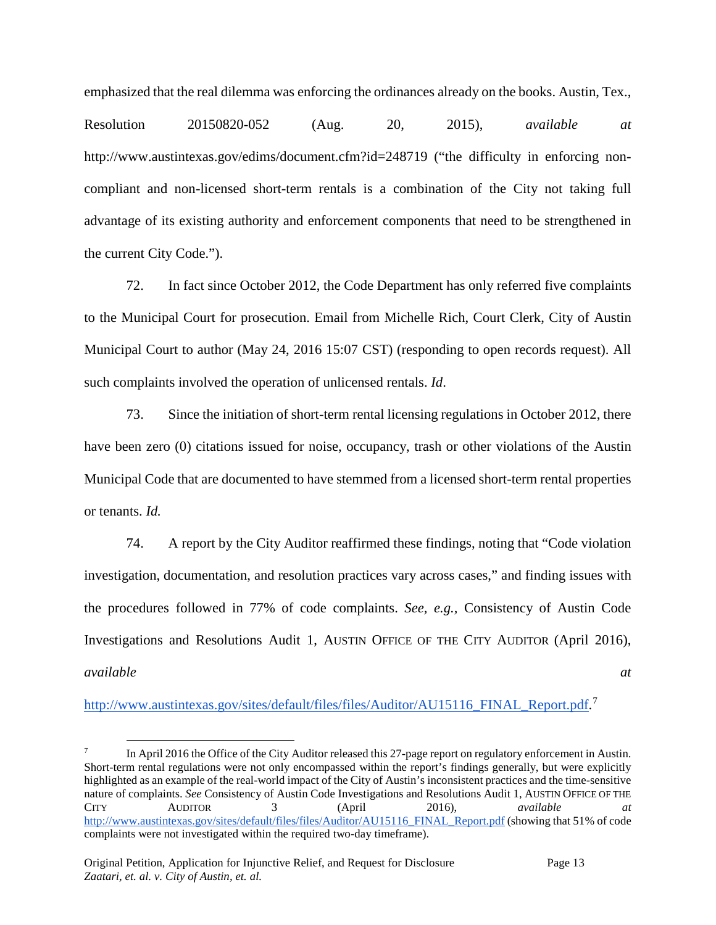emphasized that the real dilemma was enforcing the ordinances already on the books. Austin, Tex.,

Resolution 20150820-052 (Aug. 20, 2015), *available at*  http://www.austintexas.gov/edims/document.cfm?id=248719 ("the difficulty in enforcing noncompliant and non-licensed short-term rentals is a combination of the City not taking full advantage of its existing authority and enforcement components that need to be strengthened in the current City Code.").

72. In fact since October 2012, the Code Department has only referred five complaints to the Municipal Court for prosecution. Email from Michelle Rich, Court Clerk, City of Austin Municipal Court to author (May 24, 2016 15:07 CST) (responding to open records request). All such complaints involved the operation of unlicensed rentals. *Id*.

73. Since the initiation of short-term rental licensing regulations in October 2012, there have been zero (0) citations issued for noise, occupancy, trash or other violations of the Austin Municipal Code that are documented to have stemmed from a licensed short-term rental properties or tenants. *Id.*

74. A report by the City Auditor reaffirmed these findings, noting that "Code violation investigation, documentation, and resolution practices vary across cases," and finding issues with the procedures followed in 77% of code complaints. *See, e.g.,* Consistency of Austin Code Investigations and Resolutions Audit 1, AUSTIN OFFICE OF THE CITY AUDITOR (April 2016), *available at* 

[http://www.austintexas.gov/sites/default/files/files/Auditor/AU15116\\_FINAL\\_Report.pdf.](http://www.austintexas.gov/sites/default/files/files/Auditor/AU15116_FINAL_Report.pdf)<sup>[7](#page-12-0)</sup>

<span id="page-12-0"></span>In April 2016 the Office of the City Auditor released this 27-page report on regulatory enforcement in Austin. Short-term rental regulations were not only encompassed within the report's findings generally, but were explicitly highlighted as an example of the real-world impact of the City of Austin's inconsistent practices and the time-sensitive nature of complaints. *See* Consistency of Austin Code Investigations and Resolutions Audit 1, AUSTIN OFFICE OF THE CITY AUDITOR 3 (April 2016), *available at*  [http://www.austintexas.gov/sites/default/files/files/Auditor/AU15116\\_FINAL\\_Report.pdf](http://www.austintexas.gov/sites/default/files/files/Auditor/AU15116_FINAL_Report.pdf) (showing that 51% of code complaints were not investigated within the required two-day timeframe).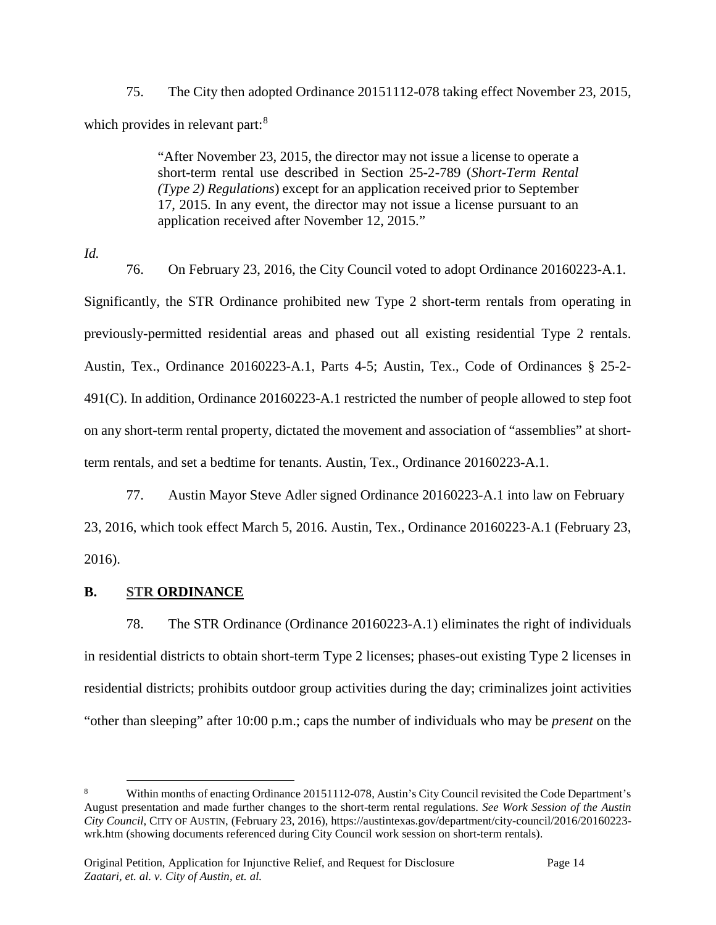75. The City then adopted Ordinance 20151112-078 taking effect November 23, 2015, which provides in relevant part:<sup>[8](#page-13-0)</sup>

> "After November 23, 2015, the director may not issue a license to operate a short-term rental use described in Section 25-2-789 (*Short-Term Rental (Type 2) Regulations*) except for an application received prior to September 17, 2015. In any event, the director may not issue a license pursuant to an application received after November 12, 2015."

*Id.*

76. On February 23, 2016, the City Council voted to adopt Ordinance 20160223-A.1. Significantly, the STR Ordinance prohibited new Type 2 short-term rentals from operating in previously-permitted residential areas and phased out all existing residential Type 2 rentals. Austin, Tex., Ordinance 20160223-A.1, Parts 4-5; Austin, Tex., Code of Ordinances § 25-2- 491(C). In addition, Ordinance 20160223-A.1 restricted the number of people allowed to step foot on any short-term rental property, dictated the movement and association of "assemblies" at shortterm rentals, and set a bedtime for tenants. Austin, Tex., Ordinance 20160223-A.1.

77. Austin Mayor Steve Adler signed Ordinance 20160223-A.1 into law on February 23, 2016, which took effect March 5, 2016. Austin, Tex., Ordinance 20160223-A.1 (February 23, 2016).

# **B. STR ORDINANCE**

78. The STR Ordinance (Ordinance 20160223-A.1) eliminates the right of individuals in residential districts to obtain short-term Type 2 licenses; phases-out existing Type 2 licenses in residential districts; prohibits outdoor group activities during the day; criminalizes joint activities "other than sleeping" after 10:00 p.m.; caps the number of individuals who may be *present* on the

<span id="page-13-0"></span>Within months of enacting Ordinance 20151112-078, Austin's City Council revisited the Code Department's August presentation and made further changes to the short-term rental regulations. *See Work Session of the Austin City Council*, CITY OF AUSTIN, (February 23, 2016), https://austintexas.gov/department/city-council/2016/20160223 wrk.htm (showing documents referenced during City Council work session on short-term rentals).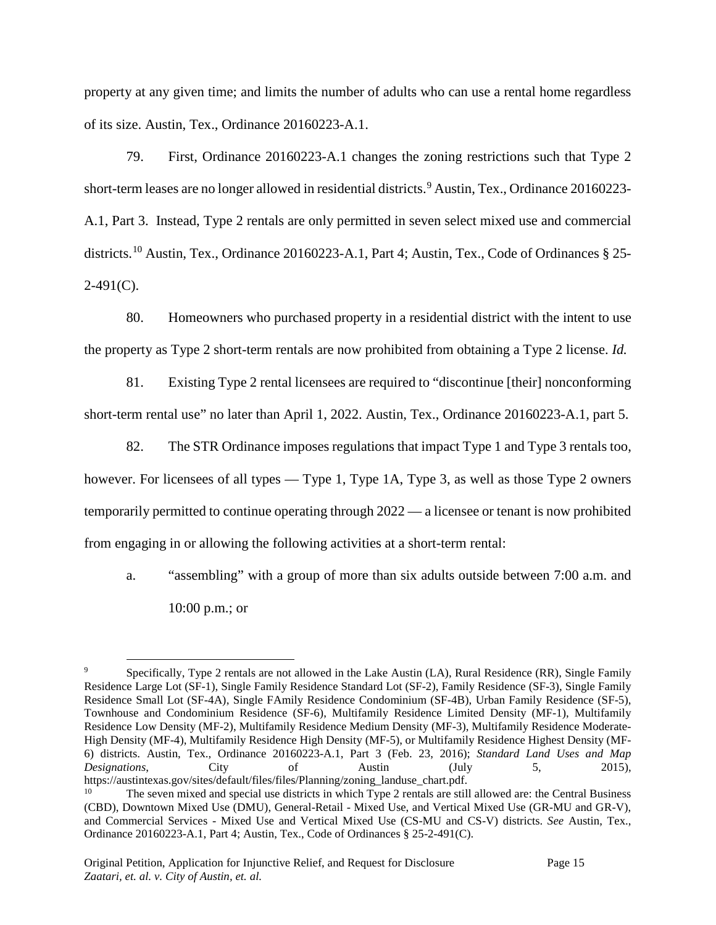property at any given time; and limits the number of adults who can use a rental home regardless of its size. Austin, Tex., Ordinance 20160223-A.1.

79. First, Ordinance 20160223-A.1 changes the zoning restrictions such that Type 2 short-term leases are no longer allowed in residential districts.<sup>[9](#page-14-0)</sup> Austin, Tex., Ordinance 20160223-A.1, Part 3. Instead, Type 2 rentals are only permitted in seven select mixed use and commercial districts.<sup>[10](#page-14-1)</sup> Austin, Tex., Ordinance 20160223-A.1, Part 4; Austin, Tex., Code of Ordinances § 25- $2-491(C)$ .

80. Homeowners who purchased property in a residential district with the intent to use the property as Type 2 short-term rentals are now prohibited from obtaining a Type 2 license. *Id.*

81. Existing Type 2 rental licensees are required to "discontinue [their] nonconforming short-term rental use" no later than April 1, 2022. Austin, Tex., Ordinance 20160223-A.1, part 5.

82. The STR Ordinance imposes regulations that impact Type 1 and Type 3 rentals too, however. For licensees of all types — Type 1, Type 1A, Type 3, as well as those Type 2 owners temporarily permitted to continue operating through 2022 — a licensee or tenant is now prohibited from engaging in or allowing the following activities at a short-term rental:

a. "assembling" with a group of more than six adults outside between 7:00 a.m. and 10:00 p.m.; or

<span id="page-14-0"></span> <sup>9</sup> Specifically, Type 2 rentals are not allowed in the Lake Austin (LA), Rural Residence (RR), Single Family Residence Large Lot (SF-1), Single Family Residence Standard Lot (SF-2), Family Residence (SF-3), Single Family Residence Small Lot (SF-4A), Single FAmily Residence Condominium (SF-4B), Urban Family Residence (SF-5), Townhouse and Condominium Residence (SF-6), Multifamily Residence Limited Density (MF-1), Multifamily Residence Low Density (MF-2), Multifamily Residence Medium Density (MF-3), Multifamily Residence Moderate-High Density (MF-4), Multifamily Residence High Density (MF-5), or Multifamily Residence Highest Density (MF-6) districts. Austin, Tex., Ordinance 20160223-A.1, Part 3 (Feb. 23, 2016); *Standard Land Uses and Map Designations*, City of Austin (July 5, 2015), https://austintexas.gov/sites/default/files/files/Planning/zoning\_landuse\_chart.pdf.

<span id="page-14-1"></span><sup>&</sup>lt;sup>10</sup> The seven mixed and special use districts in which Type 2 rentals are still allowed are: the Central Business (CBD), Downtown Mixed Use (DMU), General-Retail - Mixed Use, and Vertical Mixed Use (GR-MU and GR-V), and Commercial Services - Mixed Use and Vertical Mixed Use (CS-MU and CS-V) districts. *See* Austin, Tex., Ordinance 20160223-A.1, Part 4; Austin, Tex., Code of Ordinances § 25-2-491(C).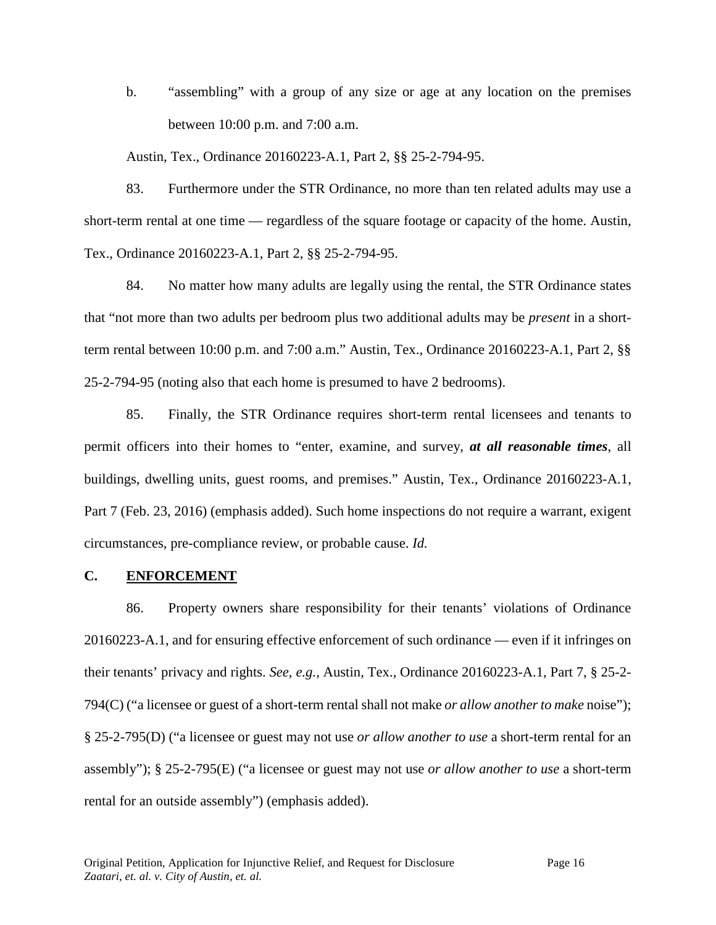b. "assembling" with a group of any size or age at any location on the premises between 10:00 p.m. and 7:00 a.m.

Austin, Tex., Ordinance 20160223-A.1, Part 2, §§ 25-2-794-95.

83. Furthermore under the STR Ordinance, no more than ten related adults may use a short-term rental at one time — regardless of the square footage or capacity of the home. Austin, Tex., Ordinance 20160223-A.1, Part 2, §§ 25-2-794-95.

84. No matter how many adults are legally using the rental, the STR Ordinance states that "not more than two adults per bedroom plus two additional adults may be *present* in a shortterm rental between 10:00 p.m. and 7:00 a.m." Austin, Tex., Ordinance 20160223-A.1, Part 2, §§ 25-2-794-95 (noting also that each home is presumed to have 2 bedrooms).

85. Finally, the STR Ordinance requires short-term rental licensees and tenants to permit officers into their homes to "enter, examine, and survey, *at all reasonable times*, all buildings, dwelling units, guest rooms, and premises." Austin, Tex., Ordinance 20160223-A.1, Part 7 (Feb. 23, 2016) (emphasis added). Such home inspections do not require a warrant, exigent circumstances, pre-compliance review, or probable cause. *Id.*

### **C. ENFORCEMENT**

86. Property owners share responsibility for their tenants' violations of Ordinance 20160223-A.1, and for ensuring effective enforcement of such ordinance — even if it infringes on their tenants' privacy and rights. *See, e.g.,* Austin, Tex., Ordinance 20160223-A.1, Part 7, § 25-2- 794(C) ("a licensee or guest of a short-term rental shall not make *or allow another to make* noise"); § 25-2-795(D) ("a licensee or guest may not use *or allow another to use* a short-term rental for an assembly"); § 25-2-795(E) ("a licensee or guest may not use *or allow another to use* a short-term rental for an outside assembly") (emphasis added).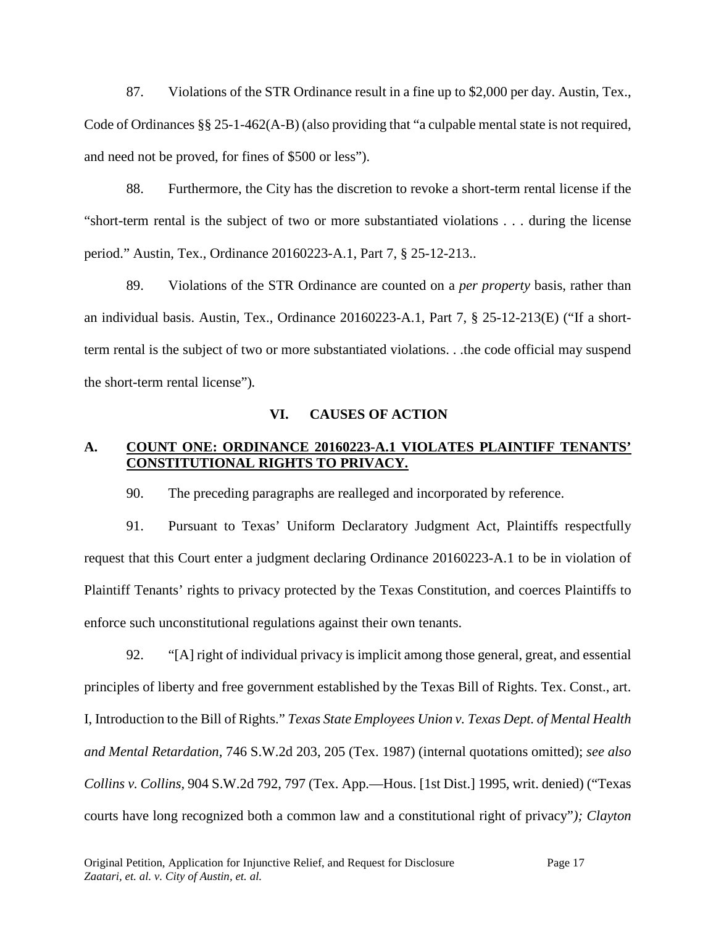87. Violations of the STR Ordinance result in a fine up to \$2,000 per day. Austin, Tex., Code of Ordinances §§ 25-1-462(A-B) (also providing that "a culpable mental state is not required, and need not be proved, for fines of \$500 or less").

88. Furthermore, the City has the discretion to revoke a short-term rental license if the "short-term rental is the subject of two or more substantiated violations . . . during the license period." Austin, Tex., Ordinance 20160223-A.1, Part 7, § 25-12-213..

89. Violations of the STR Ordinance are counted on a *per property* basis, rather than an individual basis. Austin, Tex., Ordinance 20160223-A.1, Part 7, § 25-12-213(E) ("If a shortterm rental is the subject of two or more substantiated violations. . .the code official may suspend the short-term rental license")*.*

### **VI. CAUSES OF ACTION**

## **A. COUNT ONE: ORDINANCE 20160223-A.1 VIOLATES PLAINTIFF TENANTS' CONSTITUTIONAL RIGHTS TO PRIVACY.**

90. The preceding paragraphs are realleged and incorporated by reference.

91. Pursuant to Texas' Uniform Declaratory Judgment Act, Plaintiffs respectfully request that this Court enter a judgment declaring Ordinance 20160223-A.1 to be in violation of Plaintiff Tenants' rights to privacy protected by the Texas Constitution, and coerces Plaintiffs to enforce such unconstitutional regulations against their own tenants.

92. "[A] right of individual privacy is implicit among those general, great, and essential principles of liberty and free government established by the Texas Bill of Rights. Tex. Const., art. I, Introduction to the Bill of Rights." *Texas State Employees Union v. Texas Dept. of Mental Health and Mental Retardation,* 746 S.W.2d 203, 205 (Tex. 1987) (internal quotations omitted); *see also Collins v. Collins,* 904 S.W.2d 792, 797 (Tex. App.—Hous. [1st Dist.] 1995, writ. denied) ("Texas courts have long recognized both a common law and a constitutional right of privacy"*); Clayton*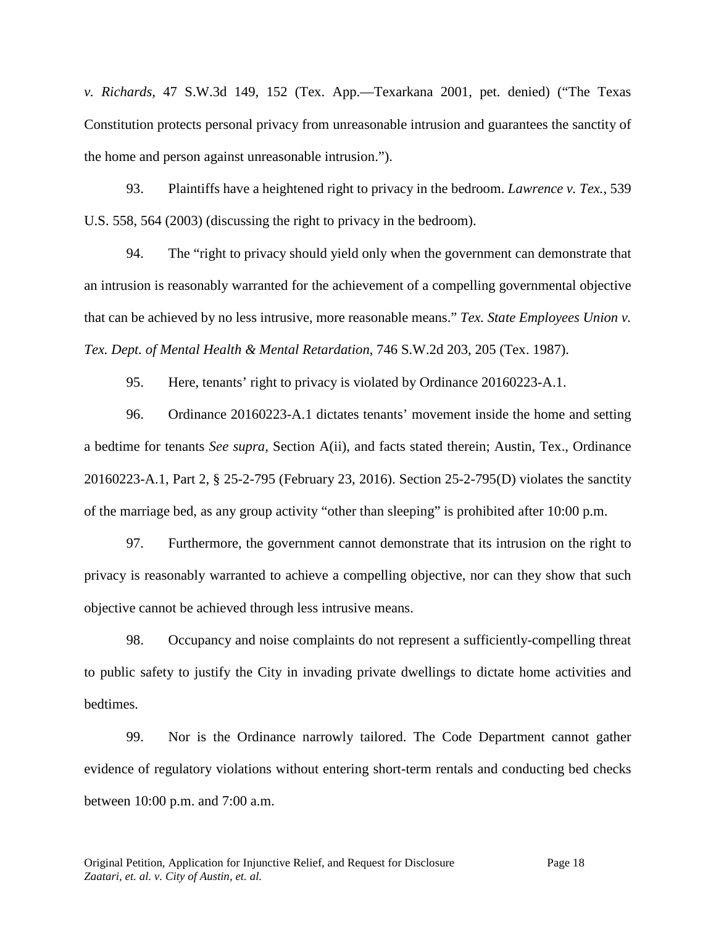*v. Richards,* 47 S.W.3d 149, 152 (Tex. App.—Texarkana 2001, pet. denied) ("The Texas Constitution protects personal privacy from unreasonable intrusion and guarantees the sanctity of the home and person against unreasonable intrusion.").

93. Plaintiffs have a heightened right to privacy in the bedroom. *Lawrence v. Tex.*, 539 U.S. 558, 564 (2003) (discussing the right to privacy in the bedroom).

94. The "right to privacy should yield only when the government can demonstrate that an intrusion is reasonably warranted for the achievement of a compelling governmental objective that can be achieved by no less intrusive, more reasonable means." *Tex. State Employees Union v. Tex. Dept. of Mental Health & Mental Retardation*, 746 S.W.2d 203, 205 (Tex. 1987).

95. Here, tenants' right to privacy is violated by Ordinance 20160223-A.1.

96. Ordinance 20160223-A.1 dictates tenants' movement inside the home and setting a bedtime for tenants *See supra,* Section A(ii), and facts stated therein; Austin, Tex., Ordinance 20160223-A.1, Part 2, § 25-2-795 (February 23, 2016). Section 25-2-795(D) violates the sanctity of the marriage bed, as any group activity "other than sleeping" is prohibited after 10:00 p.m.

97. Furthermore, the government cannot demonstrate that its intrusion on the right to privacy is reasonably warranted to achieve a compelling objective, nor can they show that such objective cannot be achieved through less intrusive means.

98. Occupancy and noise complaints do not represent a sufficiently-compelling threat to public safety to justify the City in invading private dwellings to dictate home activities and bedtimes.

99. Nor is the Ordinance narrowly tailored. The Code Department cannot gather evidence of regulatory violations without entering short-term rentals and conducting bed checks between 10:00 p.m. and 7:00 a.m.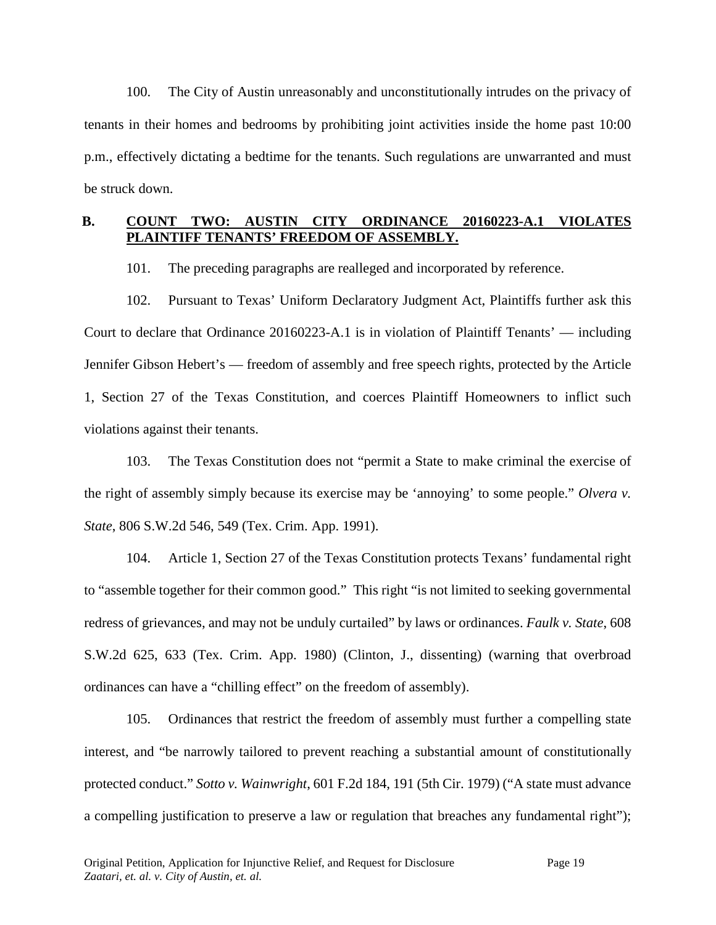100. The City of Austin unreasonably and unconstitutionally intrudes on the privacy of tenants in their homes and bedrooms by prohibiting joint activities inside the home past 10:00 p.m., effectively dictating a bedtime for the tenants. Such regulations are unwarranted and must be struck down.

## **B. COUNT TWO: AUSTIN CITY ORDINANCE 20160223-A.1 VIOLATES PLAINTIFF TENANTS' FREEDOM OF ASSEMBLY.**

101. The preceding paragraphs are realleged and incorporated by reference.

102. Pursuant to Texas' Uniform Declaratory Judgment Act, Plaintiffs further ask this Court to declare that Ordinance 20160223-A.1 is in violation of Plaintiff Tenants' — including Jennifer Gibson Hebert's — freedom of assembly and free speech rights, protected by the Article 1, Section 27 of the Texas Constitution, and coerces Plaintiff Homeowners to inflict such violations against their tenants.

103. The Texas Constitution does not "permit a State to make criminal the exercise of the right of assembly simply because its exercise may be 'annoying' to some people." *Olvera v. State*, 806 S.W.2d 546, 549 (Tex. Crim. App. 1991).

104. Article 1, Section 27 of the Texas Constitution protects Texans' fundamental right to "assemble together for their common good." This right "is not limited to seeking governmental redress of grievances, and may not be unduly curtailed" by laws or ordinances. *Faulk v. State*, 608 S.W.2d 625, 633 (Tex. Crim. App. 1980) (Clinton, J., dissenting) (warning that overbroad ordinances can have a "chilling effect" on the freedom of assembly).

105. Ordinances that restrict the freedom of assembly must further a compelling state interest, and "be narrowly tailored to prevent reaching a substantial amount of constitutionally protected conduct." *Sotto v. Wainwright*, 601 F.2d 184, 191 (5th Cir. 1979) ("A state must advance a compelling justification to preserve a law or regulation that breaches any fundamental right");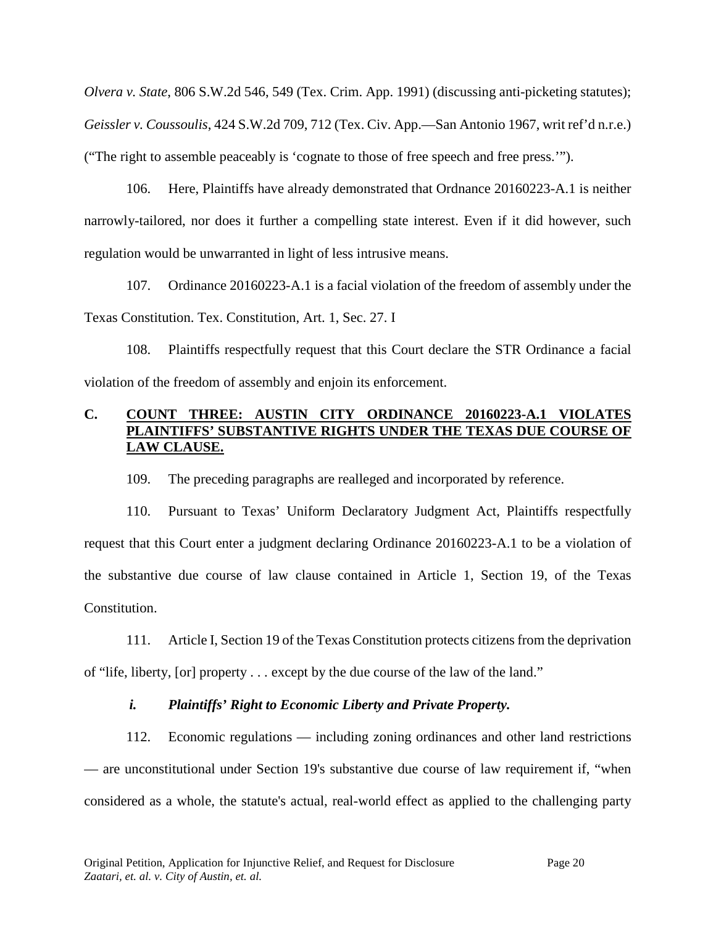*Olvera v. State*, 806 S.W.2d 546, 549 (Tex. Crim. App. 1991) (discussing anti-picketing statutes); *Geissler v. Coussoulis*, 424 S.W.2d 709, 712 (Tex. Civ. App.—San Antonio 1967, writ ref'd n.r.e.) ("The right to assemble peaceably is 'cognate to those of free speech and free press.'").

106. Here, Plaintiffs have already demonstrated that Ordnance 20160223-A.1 is neither narrowly-tailored, nor does it further a compelling state interest. Even if it did however, such regulation would be unwarranted in light of less intrusive means.

107. Ordinance 20160223-A.1 is a facial violation of the freedom of assembly under the Texas Constitution. Tex. Constitution, Art. 1, Sec. 27. I

108. Plaintiffs respectfully request that this Court declare the STR Ordinance a facial violation of the freedom of assembly and enjoin its enforcement.

## **C. COUNT THREE: AUSTIN CITY ORDINANCE 20160223-A.1 VIOLATES PLAINTIFFS' SUBSTANTIVE RIGHTS UNDER THE TEXAS DUE COURSE OF LAW CLAUSE.**

109. The preceding paragraphs are realleged and incorporated by reference.

110. Pursuant to Texas' Uniform Declaratory Judgment Act, Plaintiffs respectfully request that this Court enter a judgment declaring Ordinance 20160223-A.1 to be a violation of the substantive due course of law clause contained in Article 1, Section 19, of the Texas Constitution.

111. Article I, Section 19 of the Texas Constitution protects citizens from the deprivation of "life, liberty, [or] property . . . except by the due course of the law of the land."

## *i. Plaintiffs' Right to Economic Liberty and Private Property.*

112. Economic regulations — including zoning ordinances and other land restrictions — are unconstitutional under Section 19's substantive due course of law requirement if, "when considered as a whole, the statute's actual, real-world effect as applied to the challenging party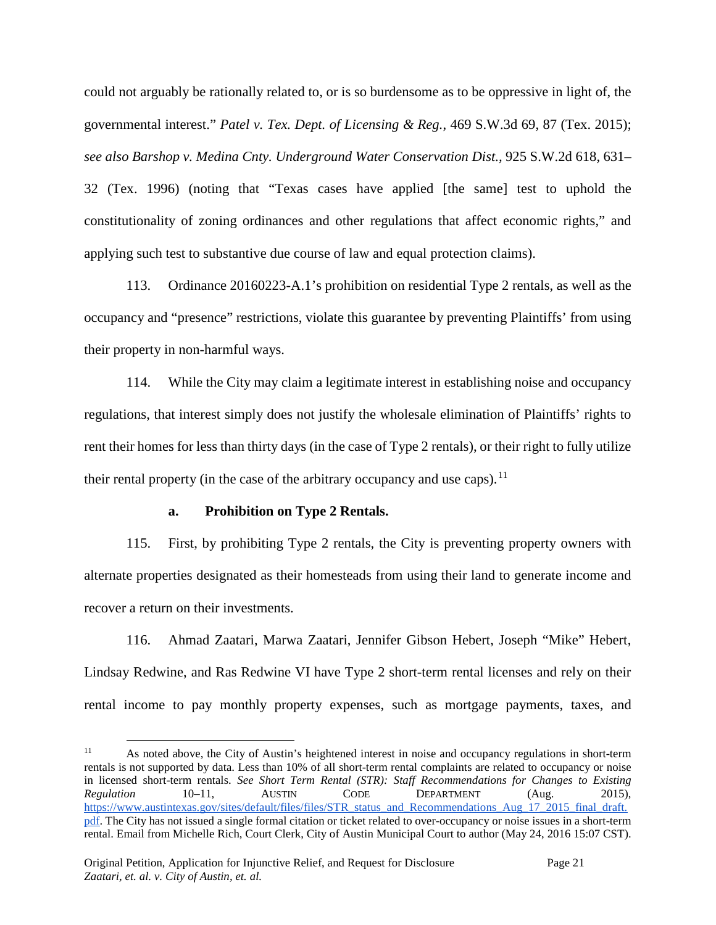could not arguably be rationally related to, or is so burdensome as to be oppressive in light of, the governmental interest." *Patel v. Tex. Dept. of Licensing & Reg.*, 469 S.W.3d 69, 87 (Tex. 2015); *see also Barshop v. Medina Cnty. Underground Water Conservation Dist.,* 925 S.W.2d 618, 631– 32 (Tex. 1996) (noting that "Texas cases have applied [the same] test to uphold the constitutionality of zoning ordinances and other regulations that affect economic rights," and applying such test to substantive due course of law and equal protection claims).

113. Ordinance 20160223-A.1's prohibition on residential Type 2 rentals, as well as the occupancy and "presence" restrictions, violate this guarantee by preventing Plaintiffs' from using their property in non-harmful ways.

114. While the City may claim a legitimate interest in establishing noise and occupancy regulations, that interest simply does not justify the wholesale elimination of Plaintiffs' rights to rent their homes for less than thirty days (in the case of Type 2 rentals), or their right to fully utilize their rental property (in the case of the arbitrary occupancy and use caps).<sup>[11](#page-20-0)</sup>

### **a. Prohibition on Type 2 Rentals.**

115. First, by prohibiting Type 2 rentals, the City is preventing property owners with alternate properties designated as their homesteads from using their land to generate income and recover a return on their investments.

116. Ahmad Zaatari, Marwa Zaatari, Jennifer Gibson Hebert, Joseph "Mike" Hebert, Lindsay Redwine, and Ras Redwine VI have Type 2 short-term rental licenses and rely on their rental income to pay monthly property expenses, such as mortgage payments, taxes, and

<span id="page-20-0"></span> <sup>11</sup> As noted above, the City of Austin's heightened interest in noise and occupancy regulations in short-term rentals is not supported by data. Less than 10% of all short-term rental complaints are related to occupancy or noise in licensed short-term rentals. *See Short Term Rental (STR): Staff Recommendations for Changes to Existing Regulation* 10–11, AUSTIN CODE DEPARTMENT (Aug. 2015), [https://www.austintexas.gov/sites/default/files/files/STR\\_status\\_and\\_Recommendations\\_Aug\\_17\\_2015\\_final\\_draft.](https://www.austintexas.gov/sites/default/files/files/STR_status_and_Recommendations_Aug_17_2015_final_draft.pdf) [pdf.](https://www.austintexas.gov/sites/default/files/files/STR_status_and_Recommendations_Aug_17_2015_final_draft.pdf) The City has not issued a single formal citation or ticket related to over-occupancy or noise issues in a short-term rental. Email from Michelle Rich, Court Clerk, City of Austin Municipal Court to author (May 24, 2016 15:07 CST).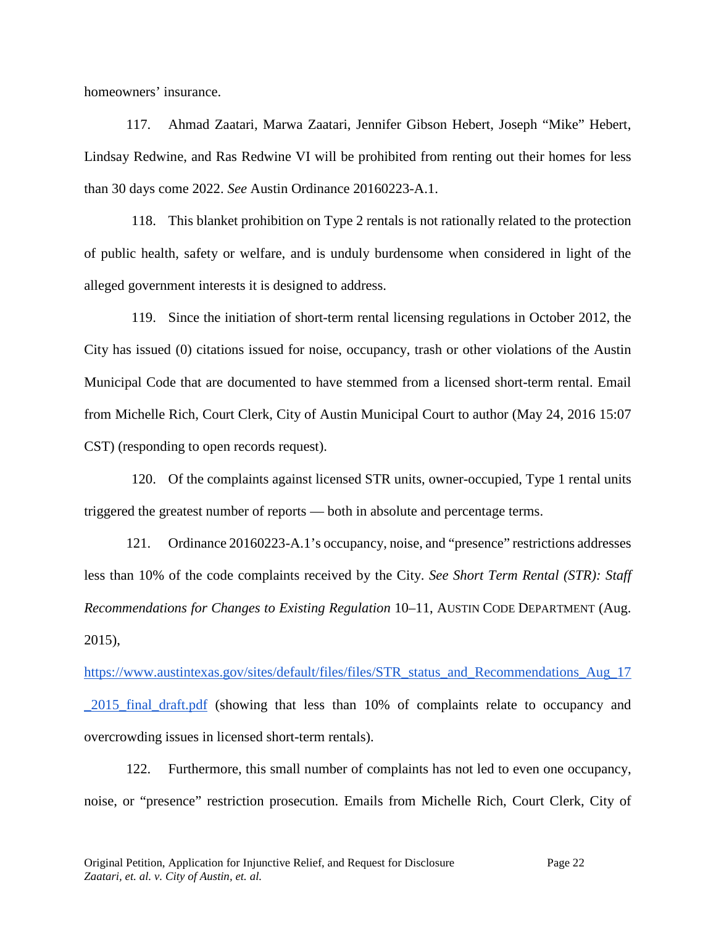homeowners' insurance.

117. Ahmad Zaatari, Marwa Zaatari, Jennifer Gibson Hebert, Joseph "Mike" Hebert, Lindsay Redwine, and Ras Redwine VI will be prohibited from renting out their homes for less than 30 days come 2022. *See* Austin Ordinance 20160223-A.1.

118. This blanket prohibition on Type 2 rentals is not rationally related to the protection of public health, safety or welfare, and is unduly burdensome when considered in light of the alleged government interests it is designed to address.

119. Since the initiation of short-term rental licensing regulations in October 2012, the City has issued (0) citations issued for noise, occupancy, trash or other violations of the Austin Municipal Code that are documented to have stemmed from a licensed short-term rental. Email from Michelle Rich, Court Clerk, City of Austin Municipal Court to author (May 24, 2016 15:07 CST) (responding to open records request).

120. Of the complaints against licensed STR units, owner-occupied, Type 1 rental units triggered the greatest number of reports — both in absolute and percentage terms.

121. Ordinance 20160223-A.1's occupancy, noise, and "presence" restrictions addresses less than 10% of the code complaints received by the City. *See Short Term Rental (STR): Staff Recommendations for Changes to Existing Regulation* 10–11, AUSTIN CODE DEPARTMENT (Aug. 2015),

[https://www.austintexas.gov/sites/default/files/files/STR\\_status\\_and\\_Recommendations\\_Aug\\_17](https://www.austintexas.gov/sites/default/files/files/STR_status_and_Recommendations_Aug_17_2015_final_draft.pdf) [\\_2015\\_final\\_draft.pdf](https://www.austintexas.gov/sites/default/files/files/STR_status_and_Recommendations_Aug_17_2015_final_draft.pdf) (showing that less than 10% of complaints relate to occupancy and overcrowding issues in licensed short-term rentals).

122. Furthermore, this small number of complaints has not led to even one occupancy, noise, or "presence" restriction prosecution. Emails from Michelle Rich, Court Clerk, City of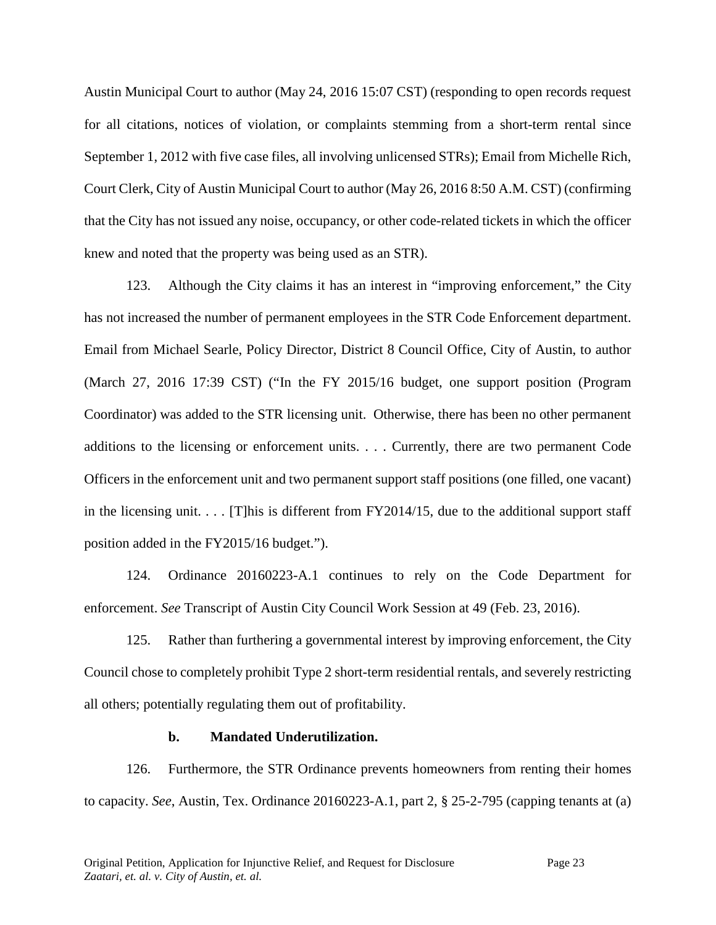Austin Municipal Court to author (May 24, 2016 15:07 CST) (responding to open records request for all citations, notices of violation, or complaints stemming from a short-term rental since September 1, 2012 with five case files, all involving unlicensed STRs); Email from Michelle Rich, Court Clerk, City of Austin Municipal Court to author (May 26, 2016 8:50 A.M. CST) (confirming that the City has not issued any noise, occupancy, or other code-related tickets in which the officer knew and noted that the property was being used as an STR).

123. Although the City claims it has an interest in "improving enforcement," the City has not increased the number of permanent employees in the STR Code Enforcement department. Email from Michael Searle, Policy Director, District 8 Council Office, City of Austin, to author (March 27, 2016 17:39 CST) ("In the FY 2015/16 budget, one support position (Program Coordinator) was added to the STR licensing unit. Otherwise, there has been no other permanent additions to the licensing or enforcement units. . . . Currently, there are two permanent Code Officers in the enforcement unit and two permanent support staff positions (one filled, one vacant) in the licensing unit. . . . [T]his is different from FY2014/15, due to the additional support staff position added in the FY2015/16 budget.").

124. Ordinance 20160223-A.1 continues to rely on the Code Department for enforcement. *See* Transcript of Austin City Council Work Session at 49 (Feb. 23, 2016).

125. Rather than furthering a governmental interest by improving enforcement, the City Council chose to completely prohibit Type 2 short-term residential rentals, and severely restricting all others; potentially regulating them out of profitability.

#### **b. Mandated Underutilization.**

126. Furthermore, the STR Ordinance prevents homeowners from renting their homes to capacity. *See*, Austin, Tex. Ordinance 20160223-A.1, part 2, § 25-2-795 (capping tenants at (a)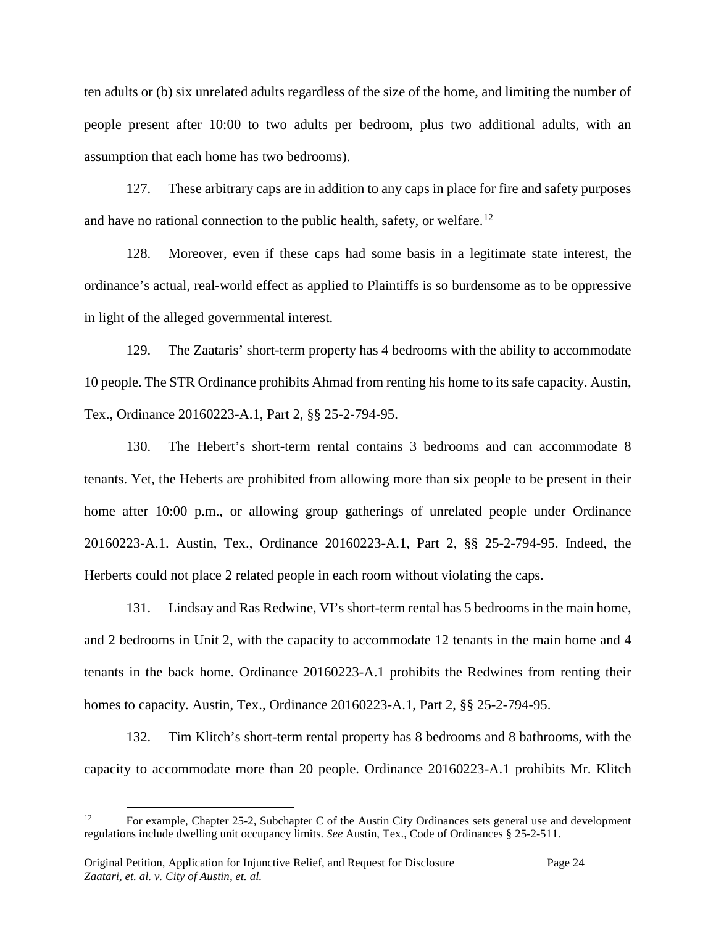ten adults or (b) six unrelated adults regardless of the size of the home, and limiting the number of people present after 10:00 to two adults per bedroom, plus two additional adults, with an assumption that each home has two bedrooms).

127. These arbitrary caps are in addition to any caps in place for fire and safety purposes and have no rational connection to the public health, safety, or welfare.<sup>[12](#page-23-0)</sup>

128. Moreover, even if these caps had some basis in a legitimate state interest, the ordinance's actual, real-world effect as applied to Plaintiffs is so burdensome as to be oppressive in light of the alleged governmental interest.

129. The Zaataris' short-term property has 4 bedrooms with the ability to accommodate 10 people. The STR Ordinance prohibits Ahmad from renting his home to its safe capacity. Austin, Tex., Ordinance 20160223-A.1, Part 2, §§ 25-2-794-95.

130. The Hebert's short-term rental contains 3 bedrooms and can accommodate 8 tenants. Yet, the Heberts are prohibited from allowing more than six people to be present in their home after 10:00 p.m., or allowing group gatherings of unrelated people under Ordinance 20160223-A.1. Austin, Tex., Ordinance 20160223-A.1, Part 2, §§ 25-2-794-95. Indeed, the Herberts could not place 2 related people in each room without violating the caps.

131. Lindsay and Ras Redwine, VI's short-term rental has 5 bedrooms in the main home, and 2 bedrooms in Unit 2, with the capacity to accommodate 12 tenants in the main home and 4 tenants in the back home. Ordinance 20160223-A.1 prohibits the Redwines from renting their homes to capacity. Austin, Tex., Ordinance 20160223-A.1, Part 2, §§ 25-2-794-95.

132. Tim Klitch's short-term rental property has 8 bedrooms and 8 bathrooms, with the capacity to accommodate more than 20 people. Ordinance 20160223-A.1 prohibits Mr. Klitch

<span id="page-23-0"></span><sup>&</sup>lt;sup>12</sup> For example, Chapter 25-2, Subchapter C of the Austin City Ordinances sets general use and development regulations include dwelling unit occupancy limits. *See* Austin, Tex., Code of Ordinances § 25-2-511.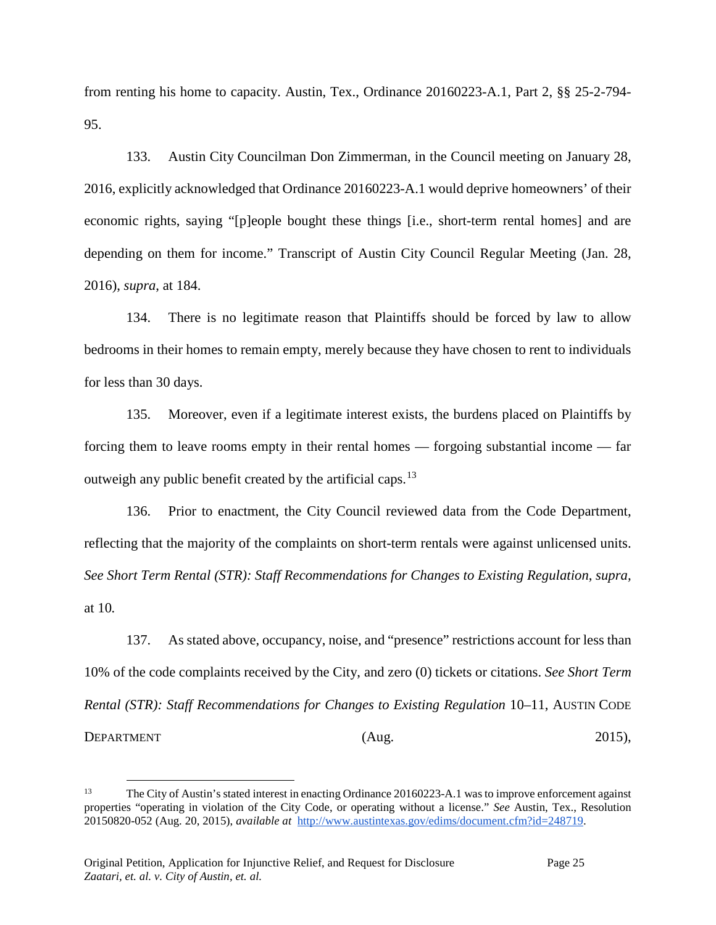from renting his home to capacity. Austin, Tex., Ordinance 20160223-A.1, Part 2, §§ 25-2-794- 95.

133. Austin City Councilman Don Zimmerman, in the Council meeting on January 28, 2016, explicitly acknowledged that Ordinance 20160223-A.1 would deprive homeowners' of their economic rights, saying "[p]eople bought these things [i.e., short-term rental homes] and are depending on them for income." Transcript of Austin City Council Regular Meeting (Jan. 28, 2016), *supra*, at 184.

134. There is no legitimate reason that Plaintiffs should be forced by law to allow bedrooms in their homes to remain empty, merely because they have chosen to rent to individuals for less than 30 days.

135. Moreover, even if a legitimate interest exists, the burdens placed on Plaintiffs by forcing them to leave rooms empty in their rental homes — forgoing substantial income — far outweigh any public benefit created by the artificial caps.[13](#page-24-0)

136. Prior to enactment, the City Council reviewed data from the Code Department, reflecting that the majority of the complaints on short-term rentals were against unlicensed units. *See Short Term Rental (STR): Staff Recommendations for Changes to Existing Regulation*, *supra,*  at 10*.*

137. As stated above, occupancy, noise, and "presence" restrictions account for less than 10% of the code complaints received by the City, and zero (0) tickets or citations. *See Short Term Rental (STR): Staff Recommendations for Changes to Existing Regulation* 10–11, AUSTIN CODE DEPARTMENT (Aug. 2015),

<span id="page-24-0"></span> <sup>13</sup> The City of Austin's stated interest in enacting Ordinance 20160223-A.1 was to improve enforcement against properties "operating in violation of the City Code, or operating without a license." *See* Austin, Tex., Resolution 20150820-052 (Aug. 20, 2015), *available at* [http://www.austintexas.gov/edims/document.cfm?id=248719.](http://www.austintexas.gov/edims/document.cfm?id=248719)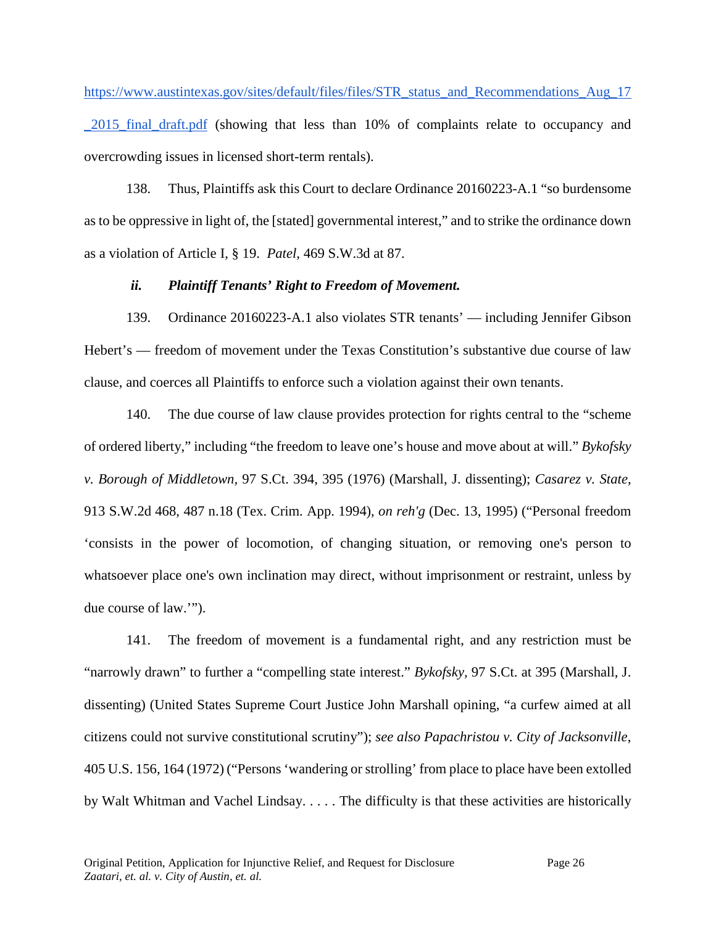[https://www.austintexas.gov/sites/default/files/files/STR\\_status\\_and\\_Recommendations\\_Aug\\_17](https://www.austintexas.gov/sites/default/files/files/STR_status_and_Recommendations_Aug_17_2015_final_draft.pdf) 2015 final draft.pdf (showing that less than 10% of complaints relate to occupancy and overcrowding issues in licensed short-term rentals).

138. Thus, Plaintiffs ask this Court to declare Ordinance 20160223-A.1 "so burdensome as to be oppressive in light of, the [stated] governmental interest," and to strike the ordinance down as a violation of Article I, § 19. *Patel*, 469 S.W.3d at 87.

## *ii. Plaintiff Tenants' Right to Freedom of Movement.*

139. Ordinance 20160223-A.1 also violates STR tenants' — including Jennifer Gibson Hebert's — freedom of movement under the Texas Constitution's substantive due course of law clause, and coerces all Plaintiffs to enforce such a violation against their own tenants.

140. The due course of law clause provides protection for rights central to the "scheme of ordered liberty," including "the freedom to leave one's house and move about at will." *Bykofsky v. Borough of Middletown,* 97 S.Ct. 394, 395 (1976) (Marshall, J. dissenting); *Casarez v. State*, 913 S.W.2d 468, 487 n.18 (Tex. Crim. App. 1994), *on reh'g* (Dec. 13, 1995) ("Personal freedom 'consists in the power of locomotion, of changing situation, or removing one's person to whatsoever place one's own inclination may direct, without imprisonment or restraint, unless by due course of law.'").

141. The freedom of movement is a fundamental right, and any restriction must be "narrowly drawn" to further a "compelling state interest." *Bykofsky,* 97 S.Ct. at 395 (Marshall, J. dissenting) (United States Supreme Court Justice John Marshall opining, "a curfew aimed at all citizens could not survive constitutional scrutiny"); *see also Papachristou v. City of Jacksonville*, 405 U.S. 156, 164 (1972) ("Persons 'wandering or strolling' from place to place have been extolled by Walt Whitman and Vachel Lindsay. . . . . The difficulty is that these activities are historically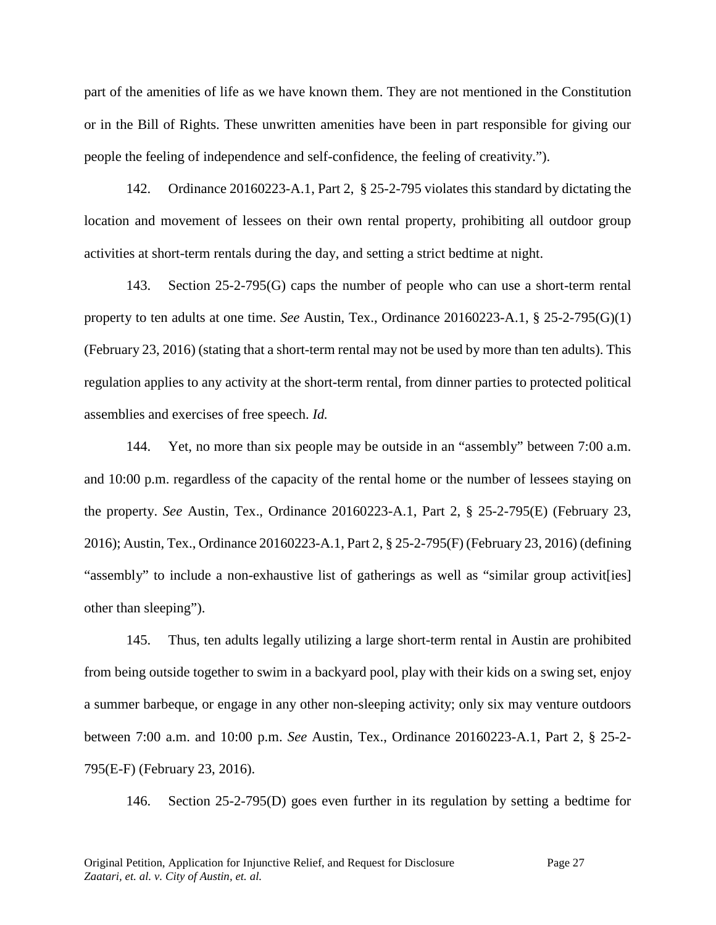part of the amenities of life as we have known them. They are not mentioned in the Constitution or in the Bill of Rights. These unwritten amenities have been in part responsible for giving our people the feeling of independence and self-confidence, the feeling of creativity.").

142. Ordinance 20160223-A.1, Part 2, § 25-2-795 violates this standard by dictating the location and movement of lessees on their own rental property, prohibiting all outdoor group activities at short-term rentals during the day, and setting a strict bedtime at night.

143. Section 25-2-795(G) caps the number of people who can use a short-term rental property to ten adults at one time. *See* Austin, Tex., Ordinance 20160223-A.1, § 25-2-795(G)(1) (February 23, 2016) (stating that a short-term rental may not be used by more than ten adults). This regulation applies to any activity at the short-term rental, from dinner parties to protected political assemblies and exercises of free speech. *Id.*

144. Yet, no more than six people may be outside in an "assembly" between 7:00 a.m. and 10:00 p.m. regardless of the capacity of the rental home or the number of lessees staying on the property. *See* Austin, Tex., Ordinance 20160223-A.1, Part 2, § 25-2-795(E) (February 23, 2016); Austin, Tex., Ordinance 20160223-A.1, Part 2, § 25-2-795(F) (February 23, 2016) (defining "assembly" to include a non-exhaustive list of gatherings as well as "similar group activit[ies] other than sleeping").

145. Thus, ten adults legally utilizing a large short-term rental in Austin are prohibited from being outside together to swim in a backyard pool, play with their kids on a swing set, enjoy a summer barbeque, or engage in any other non-sleeping activity; only six may venture outdoors between 7:00 a.m. and 10:00 p.m. *See* Austin, Tex., Ordinance 20160223-A.1, Part 2, § 25-2- 795(E-F) (February 23, 2016).

146. Section 25-2-795(D) goes even further in its regulation by setting a bedtime for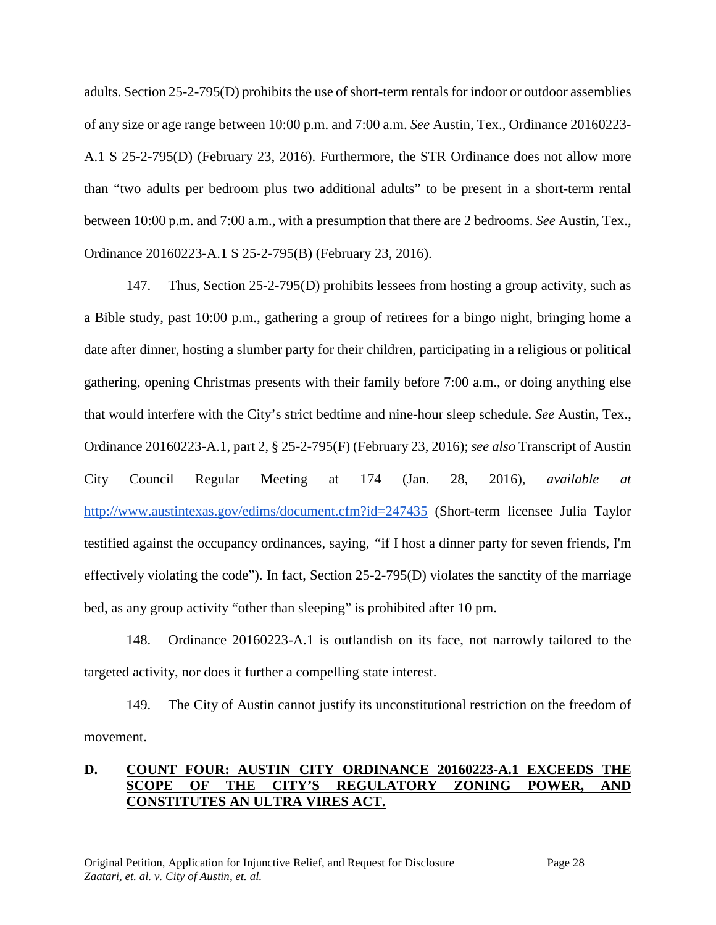adults. Section 25-2-795(D) prohibits the use of short-term rentals for indoor or outdoor assemblies of any size or age range between 10:00 p.m. and 7:00 a.m. *See* Austin, Tex., Ordinance 20160223- A.1 S 25-2-795(D) (February 23, 2016). Furthermore, the STR Ordinance does not allow more than "two adults per bedroom plus two additional adults" to be present in a short-term rental between 10:00 p.m. and 7:00 a.m., with a presumption that there are 2 bedrooms. *See* Austin, Tex., Ordinance 20160223-A.1 S 25-2-795(B) (February 23, 2016).

147. Thus, Section 25-2-795(D) prohibits lessees from hosting a group activity, such as a Bible study, past 10:00 p.m., gathering a group of retirees for a bingo night, bringing home a date after dinner, hosting a slumber party for their children, participating in a religious or political gathering, opening Christmas presents with their family before 7:00 a.m., or doing anything else that would interfere with the City's strict bedtime and nine-hour sleep schedule. *See* Austin, Tex., Ordinance 20160223-A.1, part 2, § 25-2-795(F) (February 23, 2016); *see also* Transcript of Austin City Council Regular Meeting at 174 (Jan. 28, 2016), *available at* <http://www.austintexas.gov/edims/document.cfm?id=247435> (Short-term licensee Julia Taylor testified against the occupancy ordinances, saying, *"*if I host a dinner party for seven friends, I'm effectively violating the code"). In fact, Section 25-2-795(D) violates the sanctity of the marriage bed, as any group activity "other than sleeping" is prohibited after 10 pm.

148. Ordinance 20160223-A.1 is outlandish on its face, not narrowly tailored to the targeted activity, nor does it further a compelling state interest.

149. The City of Austin cannot justify its unconstitutional restriction on the freedom of movement.

## **D. COUNT FOUR: AUSTIN CITY ORDINANCE 20160223-A.1 EXCEEDS THE SCOPE OF THE CITY'S REGULATORY ZONING POWER, AND CONSTITUTES AN ULTRA VIRES ACT.**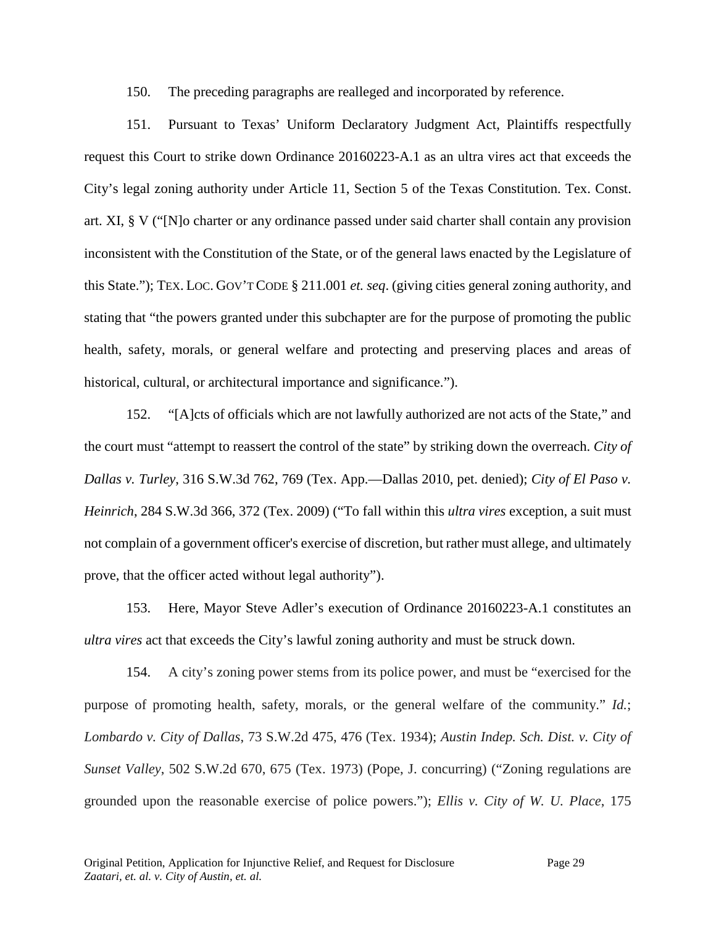150. The preceding paragraphs are realleged and incorporated by reference.

151. Pursuant to Texas' Uniform Declaratory Judgment Act, Plaintiffs respectfully request this Court to strike down Ordinance 20160223-A.1 as an ultra vires act that exceeds the City's legal zoning authority under Article 11, Section 5 of the Texas Constitution. Tex. Const. art. XI, § V ("[N]o charter or any ordinance passed under said charter shall contain any provision inconsistent with the Constitution of the State, or of the general laws enacted by the Legislature of this State."); TEX. LOC. GOV'T CODE § 211.001 *et. seq*. (giving cities general zoning authority, and stating that "the powers granted under this subchapter are for the purpose of promoting the public health, safety, morals, or general welfare and protecting and preserving places and areas of historical, cultural, or architectural importance and significance.").

152. "[A]cts of officials which are not lawfully authorized are not acts of the State," and the court must "attempt to reassert the control of the state" by striking down the overreach. *City of Dallas v. Turley*, 316 S.W.3d 762, 769 (Tex. App.—Dallas 2010, pet. denied); *City of El Paso v. Heinrich*, 284 S.W.3d 366, 372 (Tex. 2009) ("To fall within this *ultra vires* exception, a suit must not complain of a government officer's exercise of discretion, but rather must allege, and ultimately prove, that the officer acted without legal authority").

153. Here, Mayor Steve Adler's execution of Ordinance 20160223-A.1 constitutes an *ultra vires* act that exceeds the City's lawful zoning authority and must be struck down.

154. A city's zoning power stems from its police power, and must be "exercised for the purpose of promoting health, safety, morals, or the general welfare of the community." *Id.*; *Lombardo v. City of Dallas*, 73 S.W.2d 475, 476 (Tex. 1934); *Austin Indep. Sch. Dist. v. City of Sunset Valley*, 502 S.W.2d 670, 675 (Tex. 1973) (Pope, J. concurring) ("Zoning regulations are grounded upon the reasonable exercise of police powers."); *Ellis v. City of W. U. Place*, 175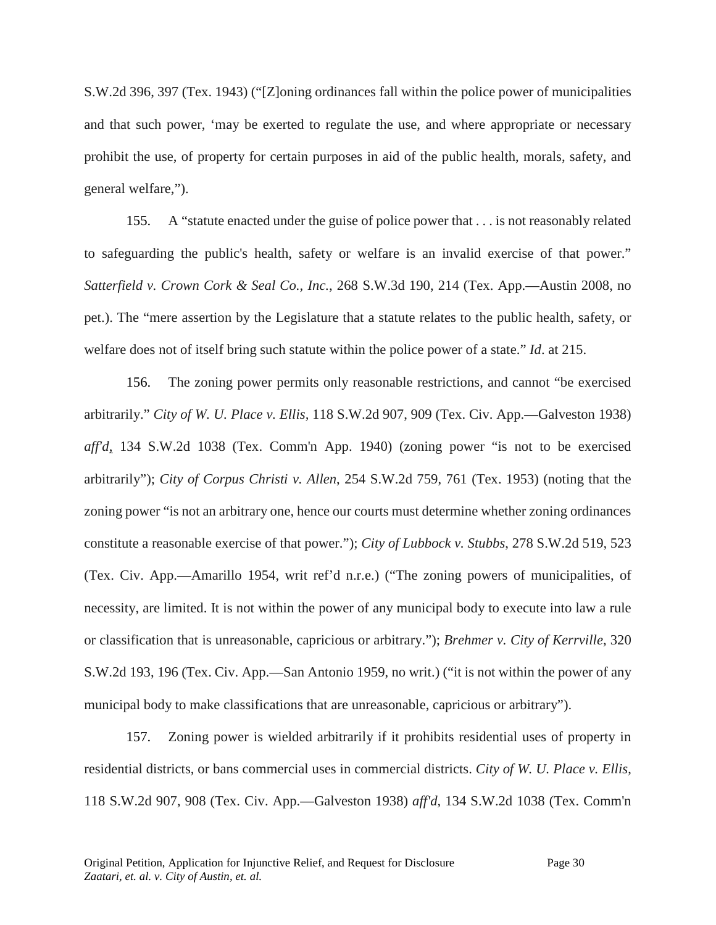S.W.2d 396, 397 (Tex. 1943) ("[Z]oning ordinances fall within the police power of municipalities and that such power, 'may be exerted to regulate the use, and where appropriate or necessary prohibit the use, of property for certain purposes in aid of the public health, morals, safety, and general welfare,").

155. A "statute enacted under the guise of police power that . . . is not reasonably related to safeguarding the public's health, safety or welfare is an invalid exercise of that power." *Satterfield v. Crown Cork & Seal Co., Inc.*, 268 S.W.3d 190, 214 (Tex. App.—Austin 2008, no pet.). The "mere assertion by the Legislature that a statute relates to the public health, safety, or welfare does not of itself bring such statute within the police power of a state." *Id*. at 215.

156. The zoning power permits only reasonable restrictions, and cannot "be exercised arbitrarily." *City of W. U. Place v. Ellis,* 118 S.W.2d 907, 909 (Tex. Civ. App.—Galveston 1938) *aff'd*, 134 S.W.2d 1038 (Tex. Comm'n App. 1940) (zoning power "is not to be exercised arbitrarily"); *City of Corpus Christi v. Allen*, 254 S.W.2d 759, 761 (Tex. 1953) (noting that the zoning power "is not an arbitrary one, hence our courts must determine whether zoning ordinances constitute a reasonable exercise of that power."); *City of Lubbock v. Stubbs*, 278 S.W.2d 519, 523 (Tex. Civ. App.—Amarillo 1954, writ ref'd n.r.e.) ("The zoning powers of municipalities, of necessity, are limited. It is not within the power of any municipal body to execute into law a rule or classification that is unreasonable, capricious or arbitrary."); *Brehmer v. City of Kerrville*, 320 S.W.2d 193, 196 (Tex. Civ. App.—San Antonio 1959, no writ.) ("it is not within the power of any municipal body to make classifications that are unreasonable, capricious or arbitrary").

157. Zoning power is wielded arbitrarily if it prohibits residential uses of property in residential districts, or bans commercial uses in commercial districts. *City of W. U. Place v. Ellis*, 118 S.W.2d 907, 908 (Tex. Civ. App.—Galveston 1938) *aff'd*, 134 S.W.2d 1038 (Tex. Comm'n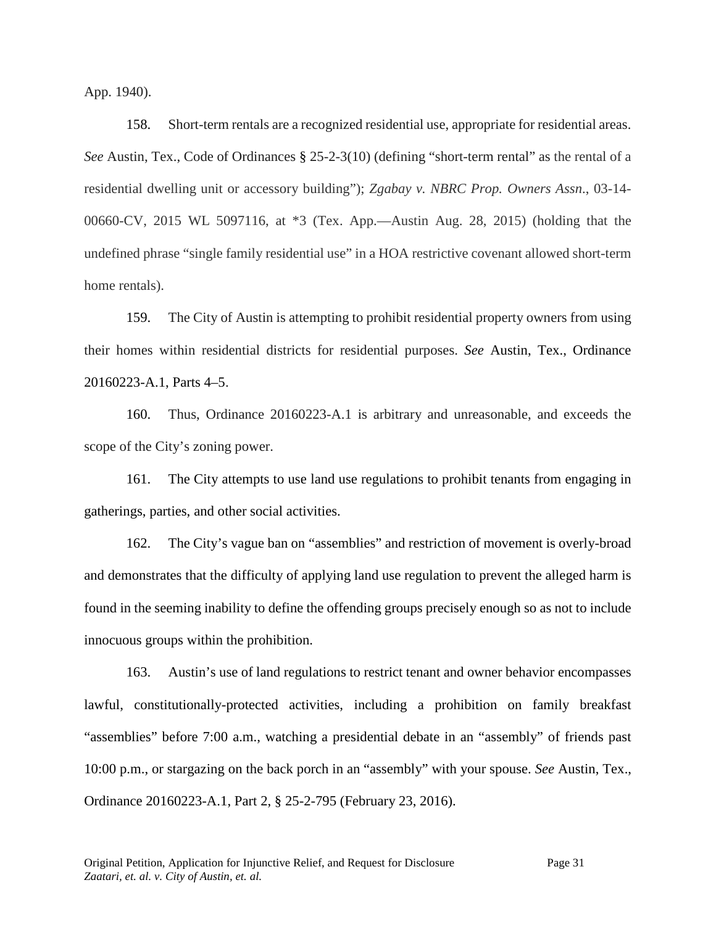App. 1940).

158. Short-term rentals are a recognized residential use, appropriate for residential areas. *See* Austin, Tex., Code of Ordinances § 25-2-3(10) (defining "short-term rental" as the rental of a residential dwelling unit or accessory building"); *Zgabay v. NBRC Prop. Owners Assn*., 03-14- 00660-CV, 2015 WL 5097116, at \*3 (Tex. App.—Austin Aug. 28, 2015) (holding that the undefined phrase "single family residential use" in a HOA restrictive covenant allowed short-term home rentals).

159. The City of Austin is attempting to prohibit residential property owners from using their homes within residential districts for residential purposes. *See* Austin, Tex., Ordinance 20160223-A.1, Parts 4–5.

160. Thus, Ordinance 20160223-A.1 is arbitrary and unreasonable, and exceeds the scope of the City's zoning power.

161. The City attempts to use land use regulations to prohibit tenants from engaging in gatherings, parties, and other social activities.

162. The City's vague ban on "assemblies" and restriction of movement is overly-broad and demonstrates that the difficulty of applying land use regulation to prevent the alleged harm is found in the seeming inability to define the offending groups precisely enough so as not to include innocuous groups within the prohibition.

163. Austin's use of land regulations to restrict tenant and owner behavior encompasses lawful, constitutionally-protected activities, including a prohibition on family breakfast "assemblies" before 7:00 a.m., watching a presidential debate in an "assembly" of friends past 10:00 p.m., or stargazing on the back porch in an "assembly" with your spouse. *See* Austin, Tex., Ordinance 20160223-A.1, Part 2, § 25-2-795 (February 23, 2016).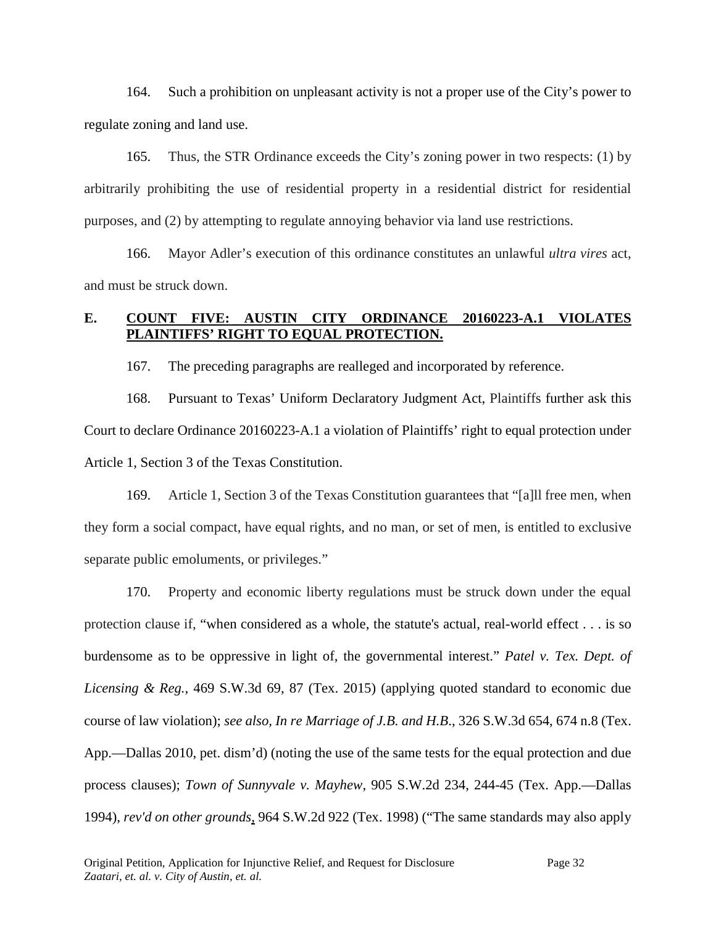164. Such a prohibition on unpleasant activity is not a proper use of the City's power to regulate zoning and land use.

165. Thus, the STR Ordinance exceeds the City's zoning power in two respects: (1) by arbitrarily prohibiting the use of residential property in a residential district for residential purposes, and (2) by attempting to regulate annoying behavior via land use restrictions.

166. Mayor Adler's execution of this ordinance constitutes an unlawful *ultra vires* act, and must be struck down.

## **E. COUNT FIVE: AUSTIN CITY ORDINANCE 20160223-A.1 VIOLATES PLAINTIFFS' RIGHT TO EQUAL PROTECTION.**

167. The preceding paragraphs are realleged and incorporated by reference.

168. Pursuant to Texas' Uniform Declaratory Judgment Act, Plaintiffs further ask this Court to declare Ordinance 20160223-A.1 a violation of Plaintiffs' right to equal protection under Article 1, Section 3 of the Texas Constitution.

169. Article 1, Section 3 of the Texas Constitution guarantees that "[a]ll free men, when they form a social compact, have equal rights, and no man, or set of men, is entitled to exclusive separate public emoluments, or privileges."

170. Property and economic liberty regulations must be struck down under the equal protection clause if, "when considered as a whole, the statute's actual, real-world effect . . . is so burdensome as to be oppressive in light of, the governmental interest." *Patel v. Tex. Dept. of Licensing & Reg.*, 469 S.W.3d 69, 87 (Tex. 2015) (applying quoted standard to economic due course of law violation); *see also, In re Marriage of J.B. and H.B*., 326 S.W.3d 654, 674 n.8 (Tex. App.—Dallas 2010, pet. dism'd) (noting the use of the same tests for the equal protection and due process clauses); *Town of Sunnyvale v. Mayhew*, 905 S.W.2d 234, 244-45 (Tex. App.—Dallas 1994), *rev'd on other grounds*, 964 S.W.2d 922 (Tex. 1998) ("The same standards may also apply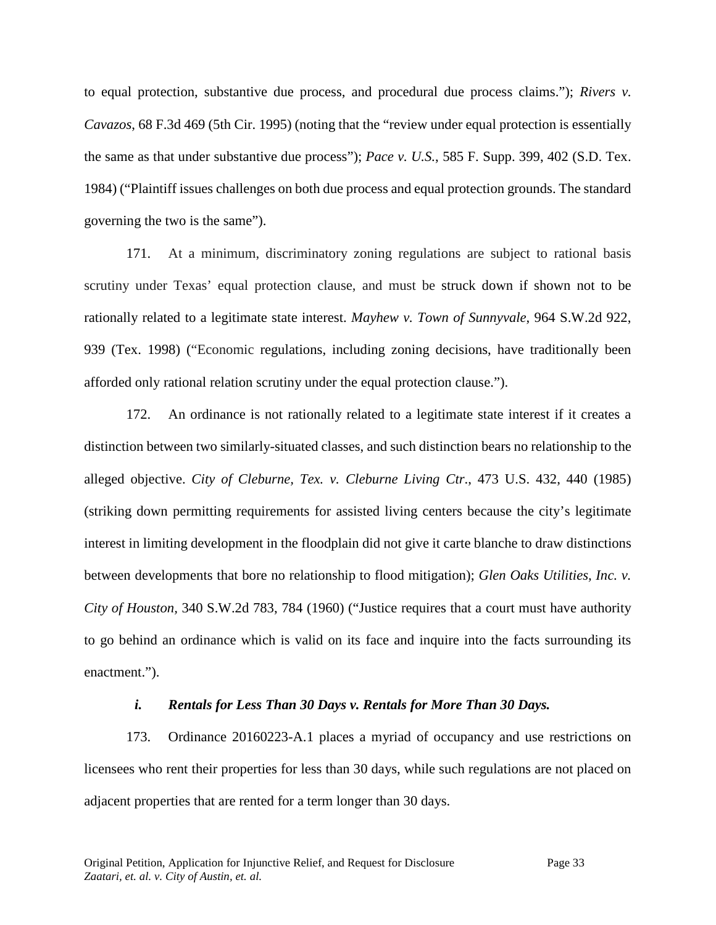to equal protection, substantive due process, and procedural due process claims."); *Rivers v. Cavazos*, 68 F.3d 469 (5th Cir. 1995) (noting that the "review under equal protection is essentially the same as that under substantive due process"); *Pace v. U.S.*, 585 F. Supp. 399, 402 (S.D. Tex. 1984) ("Plaintiff issues challenges on both due process and equal protection grounds. The standard governing the two is the same").

171. At a minimum, discriminatory zoning regulations are subject to rational basis scrutiny under Texas' equal protection clause, and must be struck down if shown not to be rationally related to a legitimate state interest. *Mayhew v. Town of Sunnyvale*, 964 S.W.2d 922, 939 (Tex. 1998) ("Economic regulations, including zoning decisions, have traditionally been afforded only rational relation scrutiny under the equal protection clause.").

172. An ordinance is not rationally related to a legitimate state interest if it creates a distinction between two similarly-situated classes, and such distinction bears no relationship to the alleged objective. *City of Cleburne, Tex. v. Cleburne Living Ctr*., 473 U.S. 432, 440 (1985) (striking down permitting requirements for assisted living centers because the city's legitimate interest in limiting development in the floodplain did not give it carte blanche to draw distinctions between developments that bore no relationship to flood mitigation); *Glen Oaks Utilities, Inc. v. City of Houston,* 340 S.W.2d 783, 784 (1960) ("Justice requires that a court must have authority to go behind an ordinance which is valid on its face and inquire into the facts surrounding its enactment.").

### *i. Rentals for Less Than 30 Days v. Rentals for More Than 30 Days.*

173. Ordinance 20160223-A.1 places a myriad of occupancy and use restrictions on licensees who rent their properties for less than 30 days, while such regulations are not placed on adjacent properties that are rented for a term longer than 30 days.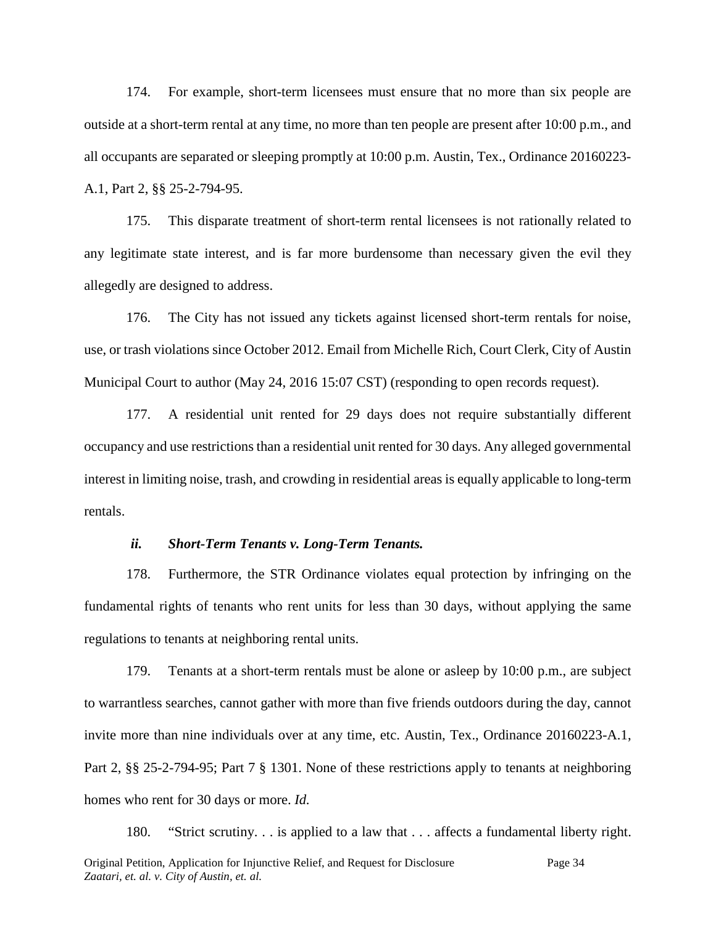174. For example, short-term licensees must ensure that no more than six people are outside at a short-term rental at any time, no more than ten people are present after 10:00 p.m., and all occupants are separated or sleeping promptly at 10:00 p.m. Austin, Tex., Ordinance 20160223- A.1, Part 2, §§ 25-2-794-95.

175. This disparate treatment of short-term rental licensees is not rationally related to any legitimate state interest, and is far more burdensome than necessary given the evil they allegedly are designed to address.

176. The City has not issued any tickets against licensed short-term rentals for noise, use, or trash violations since October 2012. Email from Michelle Rich, Court Clerk, City of Austin Municipal Court to author (May 24, 2016 15:07 CST) (responding to open records request).

177. A residential unit rented for 29 days does not require substantially different occupancy and use restrictions than a residential unit rented for 30 days. Any alleged governmental interest in limiting noise, trash, and crowding in residential areas is equally applicable to long-term rentals.

#### *ii. Short-Term Tenants v. Long-Term Tenants.*

178. Furthermore, the STR Ordinance violates equal protection by infringing on the fundamental rights of tenants who rent units for less than 30 days, without applying the same regulations to tenants at neighboring rental units.

179. Tenants at a short-term rentals must be alone or asleep by 10:00 p.m., are subject to warrantless searches, cannot gather with more than five friends outdoors during the day, cannot invite more than nine individuals over at any time, etc. Austin, Tex., Ordinance 20160223-A.1, Part 2, §§ 25-2-794-95; Part 7 § 1301. None of these restrictions apply to tenants at neighboring homes who rent for 30 days or more. *Id.*

Original Petition, Application for Injunctive Relief, and Request for Disclosure Page 34 *Zaatari, et. al. v. City of Austin, et. al.* 180. "Strict scrutiny. . . is applied to a law that . . . affects a fundamental liberty right.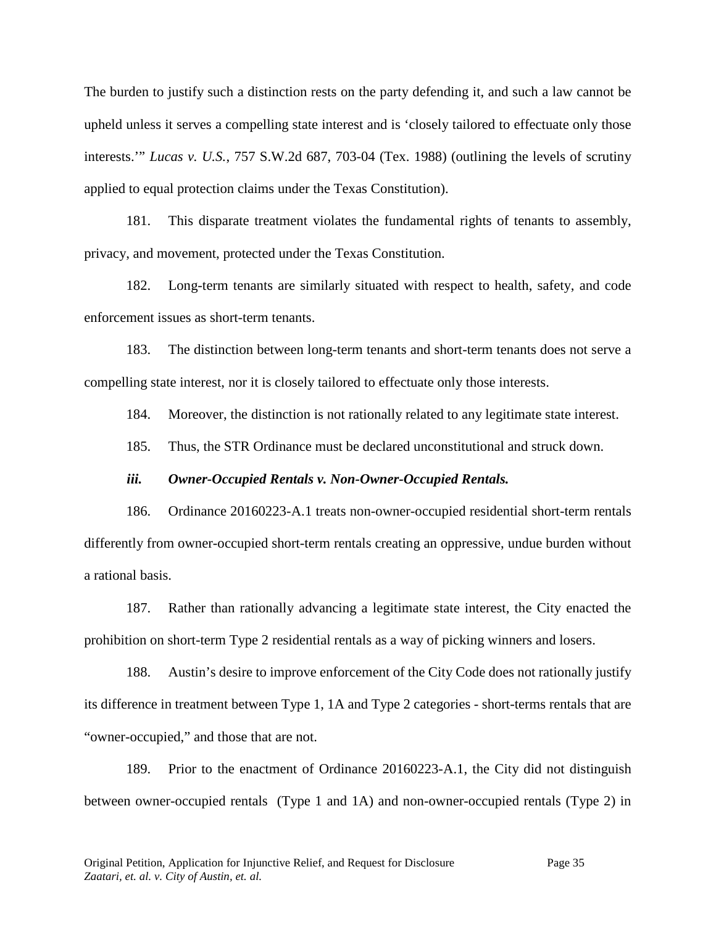The burden to justify such a distinction rests on the party defending it, and such a law cannot be upheld unless it serves a compelling state interest and is 'closely tailored to effectuate only those interests.'" *Lucas v. U.S.*, 757 S.W.2d 687, 703-04 (Tex. 1988) (outlining the levels of scrutiny applied to equal protection claims under the Texas Constitution).

181. This disparate treatment violates the fundamental rights of tenants to assembly, privacy, and movement, protected under the Texas Constitution.

182. Long-term tenants are similarly situated with respect to health, safety, and code enforcement issues as short-term tenants.

183. The distinction between long-term tenants and short-term tenants does not serve a compelling state interest, nor it is closely tailored to effectuate only those interests.

184. Moreover, the distinction is not rationally related to any legitimate state interest.

185. Thus, the STR Ordinance must be declared unconstitutional and struck down.

#### *iii. Owner-Occupied Rentals v. Non-Owner-Occupied Rentals.*

186. Ordinance 20160223-A.1 treats non-owner-occupied residential short-term rentals differently from owner-occupied short-term rentals creating an oppressive, undue burden without a rational basis.

187. Rather than rationally advancing a legitimate state interest, the City enacted the prohibition on short-term Type 2 residential rentals as a way of picking winners and losers.

188. Austin's desire to improve enforcement of the City Code does not rationally justify its difference in treatment between Type 1, 1A and Type 2 categories - short-terms rentals that are "owner-occupied," and those that are not.

189. Prior to the enactment of Ordinance 20160223-A.1, the City did not distinguish between owner-occupied rentals (Type 1 and 1A) and non-owner-occupied rentals (Type 2) in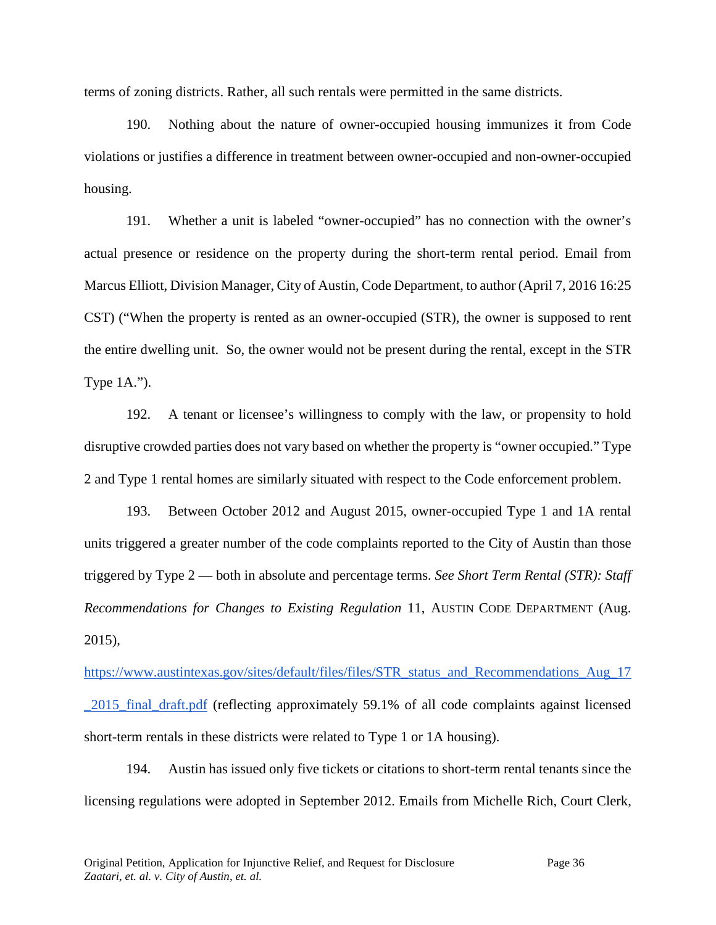terms of zoning districts. Rather, all such rentals were permitted in the same districts.

190. Nothing about the nature of owner-occupied housing immunizes it from Code violations or justifies a difference in treatment between owner-occupied and non-owner-occupied housing.

191. Whether a unit is labeled "owner-occupied" has no connection with the owner's actual presence or residence on the property during the short-term rental period. Email from Marcus Elliott, Division Manager, City of Austin, Code Department, to author (April 7, 2016 16:25 CST) ("When the property is rented as an owner-occupied (STR), the owner is supposed to rent the entire dwelling unit. So, the owner would not be present during the rental, except in the STR Type 1A.").

192. A tenant or licensee's willingness to comply with the law, or propensity to hold disruptive crowded parties does not vary based on whether the property is "owner occupied." Type 2 and Type 1 rental homes are similarly situated with respect to the Code enforcement problem.

193. Between October 2012 and August 2015, owner-occupied Type 1 and 1A rental units triggered a greater number of the code complaints reported to the City of Austin than those triggered by Type 2 — both in absolute and percentage terms. *See Short Term Rental (STR): Staff Recommendations for Changes to Existing Regulation* 11, AUSTIN CODE DEPARTMENT (Aug. 2015),

[https://www.austintexas.gov/sites/default/files/files/STR\\_status\\_and\\_Recommendations\\_Aug\\_17](https://www.austintexas.gov/sites/default/files/files/STR_status_and_Recommendations_Aug_17_2015_final_draft.pdf) [\\_2015\\_final\\_draft.pdf](https://www.austintexas.gov/sites/default/files/files/STR_status_and_Recommendations_Aug_17_2015_final_draft.pdf) (reflecting approximately 59.1% of all code complaints against licensed short-term rentals in these districts were related to Type 1 or 1A housing).

194. Austin has issued only five tickets or citations to short-term rental tenants since the licensing regulations were adopted in September 2012. Emails from Michelle Rich, Court Clerk,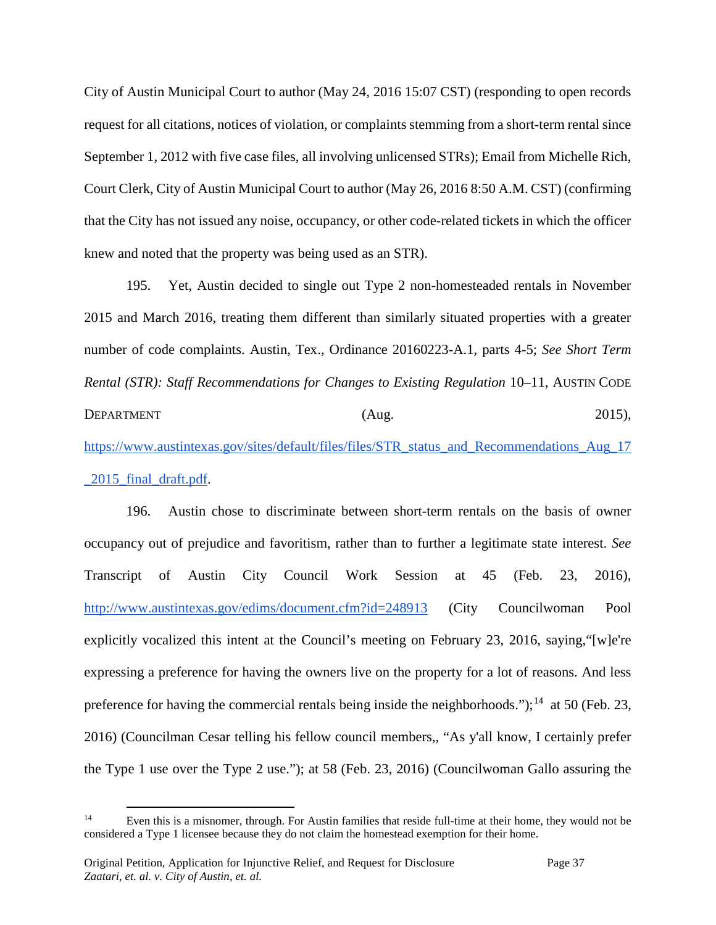City of Austin Municipal Court to author (May 24, 2016 15:07 CST) (responding to open records request for all citations, notices of violation, or complaints stemming from a short-term rental since September 1, 2012 with five case files, all involving unlicensed STRs); Email from Michelle Rich, Court Clerk, City of Austin Municipal Court to author (May 26, 2016 8:50 A.M. CST) (confirming that the City has not issued any noise, occupancy, or other code-related tickets in which the officer knew and noted that the property was being used as an STR).

195. Yet, Austin decided to single out Type 2 non-homesteaded rentals in November 2015 and March 2016, treating them different than similarly situated properties with a greater number of code complaints. Austin, Tex., Ordinance 20160223-A.1, parts 4-5; *See Short Term Rental (STR): Staff Recommendations for Changes to Existing Regulation* 10–11, AUSTIN CODE DEPARTMENT (Aug. 2015),

[https://www.austintexas.gov/sites/default/files/files/STR\\_status\\_and\\_Recommendations\\_Aug\\_17](https://www.austintexas.gov/sites/default/files/files/STR_status_and_Recommendations_Aug_17_2015_final_draft.pdf) [\\_2015\\_final\\_draft.pdf.](https://www.austintexas.gov/sites/default/files/files/STR_status_and_Recommendations_Aug_17_2015_final_draft.pdf)

196. Austin chose to discriminate between short-term rentals on the basis of owner occupancy out of prejudice and favoritism, rather than to further a legitimate state interest. *See*  Transcript of Austin City Council Work Session at 45 (Feb. 23, 2016), <http://www.austintexas.gov/edims/document.cfm?id=248913> (City Councilwoman Pool explicitly vocalized this intent at the Council's meeting on February 23, 2016, saying,"[w]e're expressing a preference for having the owners live on the property for a lot of reasons. And less preference for having the commercial rentals being inside the neighborhoods.");<sup>14</sup> at 50 (Feb. 23, 2016) (Councilman Cesar telling his fellow council members,, "As y'all know, I certainly prefer the Type 1 use over the Type 2 use."); at 58 (Feb. 23, 2016) (Councilwoman Gallo assuring the

<span id="page-36-0"></span><sup>&</sup>lt;sup>14</sup> Even this is a misnomer, through. For Austin families that reside full-time at their home, they would not be considered a Type 1 licensee because they do not claim the homestead exemption for their home.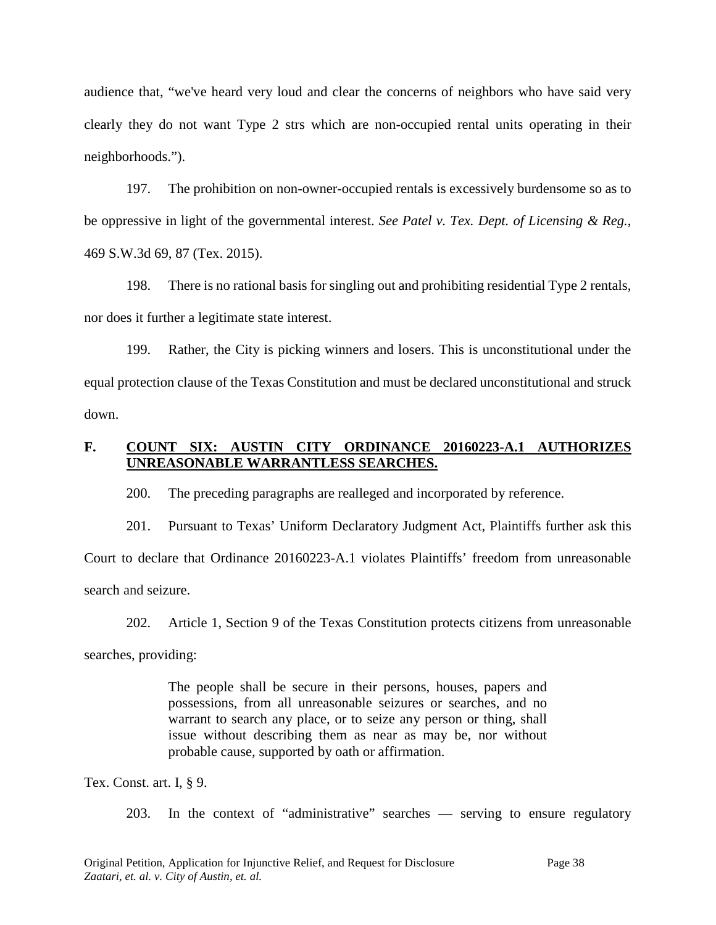audience that, "we've heard very loud and clear the concerns of neighbors who have said very clearly they do not want Type 2 strs which are non-occupied rental units operating in their neighborhoods.").

197. The prohibition on non-owner-occupied rentals is excessively burdensome so as to be oppressive in light of the governmental interest. *See Patel v. Tex. Dept. of Licensing & Reg.*, 469 S.W.3d 69, 87 (Tex. 2015).

198. There is no rational basis for singling out and prohibiting residential Type 2 rentals, nor does it further a legitimate state interest.

199. Rather, the City is picking winners and losers. This is unconstitutional under the equal protection clause of the Texas Constitution and must be declared unconstitutional and struck down.

## **F. COUNT SIX: AUSTIN CITY ORDINANCE 20160223-A.1 AUTHORIZES UNREASONABLE WARRANTLESS SEARCHES.**

200. The preceding paragraphs are realleged and incorporated by reference.

201. Pursuant to Texas' Uniform Declaratory Judgment Act, Plaintiffs further ask this Court to declare that Ordinance 20160223-A.1 violates Plaintiffs' freedom from unreasonable search and seizure.

202. Article 1, Section 9 of the Texas Constitution protects citizens from unreasonable searches, providing:

> The people shall be secure in their persons, houses, papers and possessions, from all unreasonable seizures or searches, and no warrant to search any place, or to seize any person or thing, shall issue without describing them as near as may be, nor without probable cause, supported by oath or affirmation.

Tex. Const. art. I, § 9.

203. In the context of "administrative" searches — serving to ensure regulatory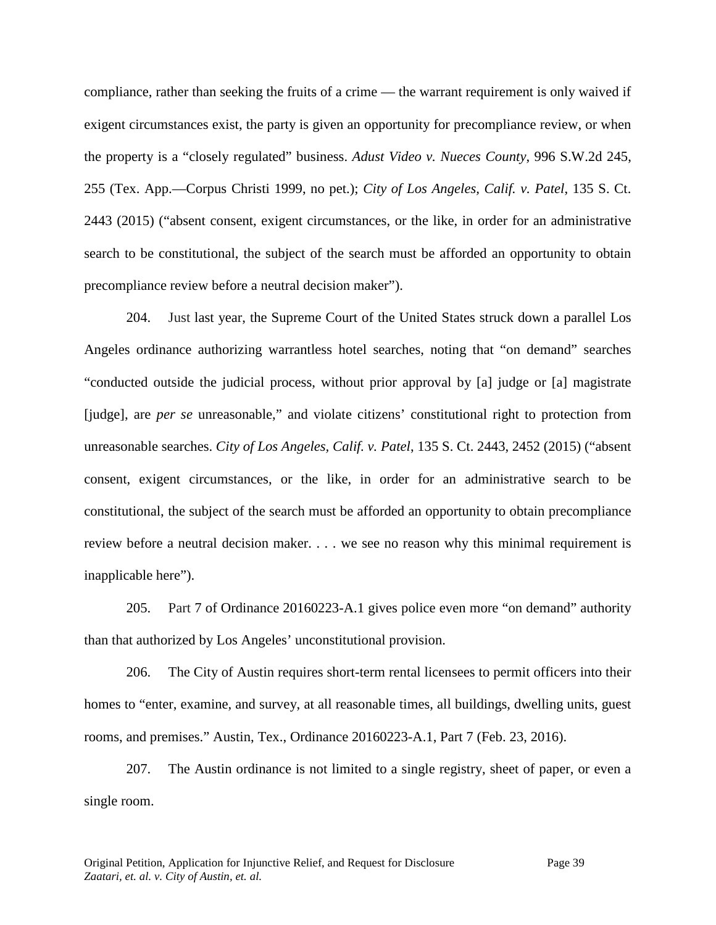compliance, rather than seeking the fruits of a crime — the warrant requirement is only waived if exigent circumstances exist, the party is given an opportunity for precompliance review, or when the property is a "closely regulated" business. *Adust Video v. Nueces County*, 996 S.W.2d 245, 255 (Tex. App.—Corpus Christi 1999, no pet.); *City of Los Angeles, Calif. v. Patel*, 135 S. Ct. 2443 (2015) ("absent consent, exigent circumstances, or the like, in order for an administrative search to be constitutional, the subject of the search must be afforded an opportunity to obtain precompliance review before a neutral decision maker").

204. Just last year, the Supreme Court of the United States struck down a parallel Los Angeles ordinance authorizing warrantless hotel searches, noting that "on demand" searches "conducted outside the judicial process, without prior approval by [a] judge or [a] magistrate [judge], are *per se* unreasonable," and violate citizens' constitutional right to protection from unreasonable searches. *City of Los Angeles, Calif. v. Patel*, 135 S. Ct. 2443, 2452 (2015) ("absent consent, exigent circumstances, or the like, in order for an administrative search to be constitutional, the subject of the search must be afforded an opportunity to obtain precompliance review before a neutral decision maker. . . . we see no reason why this minimal requirement is inapplicable here").

205. Part 7 of Ordinance 20160223-A.1 gives police even more "on demand" authority than that authorized by Los Angeles' unconstitutional provision.

206. The City of Austin requires short-term rental licensees to permit officers into their homes to "enter, examine, and survey, at all reasonable times, all buildings, dwelling units, guest rooms, and premises." Austin, Tex., Ordinance 20160223-A.1, Part 7 (Feb. 23, 2016).

207. The Austin ordinance is not limited to a single registry, sheet of paper, or even a single room.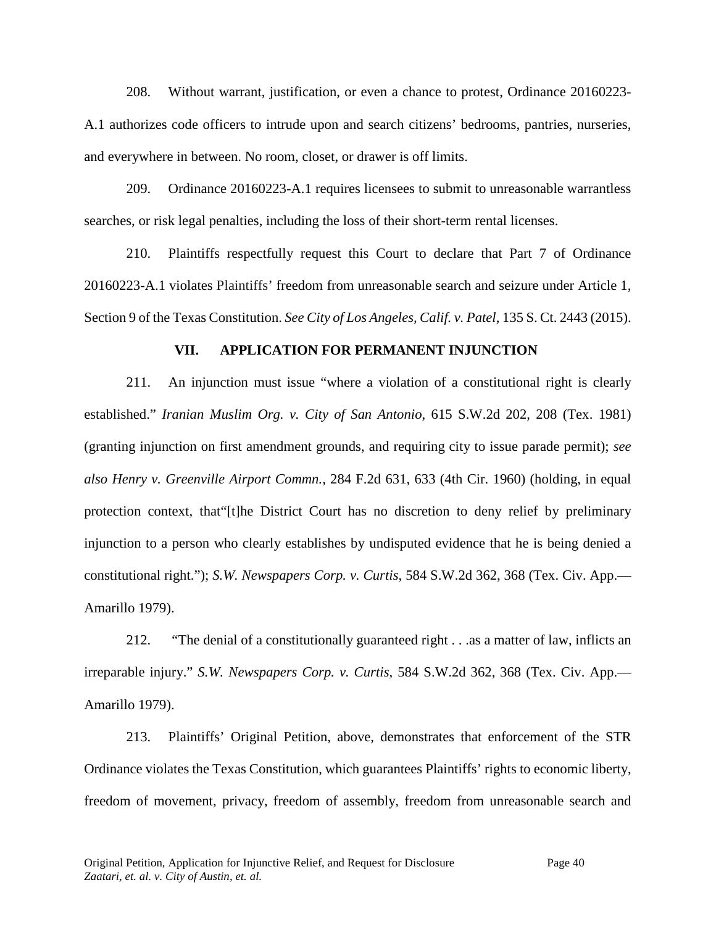208. Without warrant, justification, or even a chance to protest, Ordinance 20160223- A.1 authorizes code officers to intrude upon and search citizens' bedrooms, pantries, nurseries, and everywhere in between. No room, closet, or drawer is off limits.

209. Ordinance 20160223-A.1 requires licensees to submit to unreasonable warrantless searches, or risk legal penalties, including the loss of their short-term rental licenses.

210. Plaintiffs respectfully request this Court to declare that Part 7 of Ordinance 20160223-A.1 violates Plaintiffs' freedom from unreasonable search and seizure under Article 1, Section 9 of the Texas Constitution. *See City of Los Angeles, Calif. v. Patel*, 135 S. Ct. 2443 (2015).

#### **VII. APPLICATION FOR PERMANENT INJUNCTION**

211. An injunction must issue "where a violation of a constitutional right is clearly established." *Iranian Muslim Org. v. City of San Antonio*, 615 S.W.2d 202, 208 (Tex. 1981) (granting injunction on first amendment grounds, and requiring city to issue parade permit); *see also Henry v. Greenville Airport Commn.,* 284 F.2d 631, 633 (4th Cir. 1960) (holding, in equal protection context, that"[t]he District Court has no discretion to deny relief by preliminary injunction to a person who clearly establishes by undisputed evidence that he is being denied a constitutional right."); *S.W. Newspapers Corp. v. Curtis*, 584 S.W.2d 362, 368 (Tex. Civ. App.— Amarillo 1979).

212. "The denial of a constitutionally guaranteed right . . .as a matter of law, inflicts an irreparable injury." *S.W. Newspapers Corp. v. Curtis*, 584 S.W.2d 362, 368 (Tex. Civ. App.— Amarillo 1979).

213. Plaintiffs' Original Petition, above, demonstrates that enforcement of the STR Ordinance violates the Texas Constitution, which guarantees Plaintiffs' rights to economic liberty, freedom of movement, privacy, freedom of assembly, freedom from unreasonable search and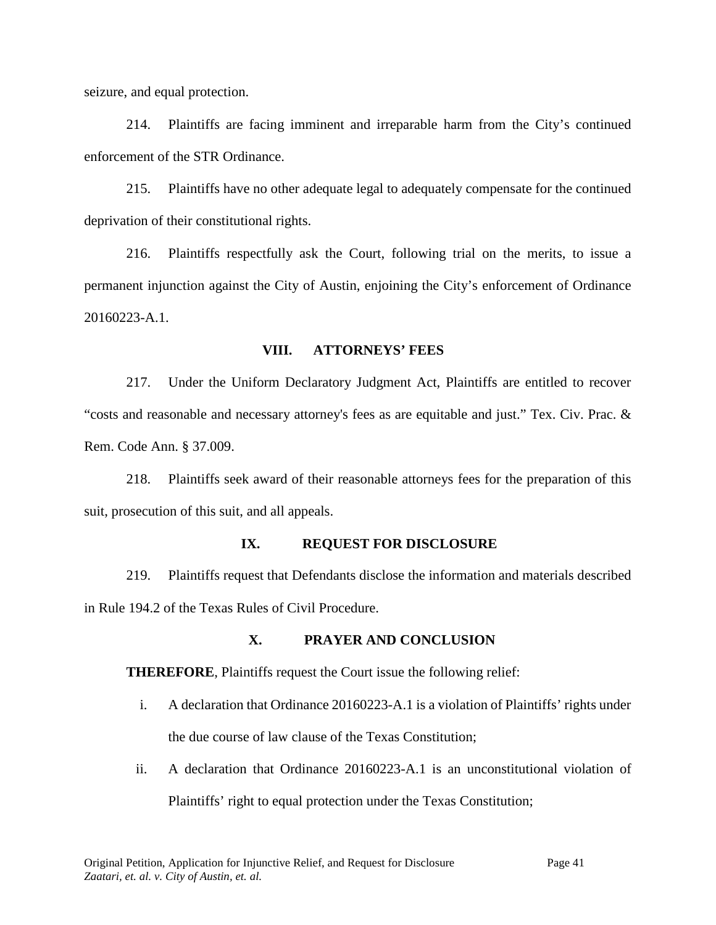seizure, and equal protection.

214. Plaintiffs are facing imminent and irreparable harm from the City's continued enforcement of the STR Ordinance.

215. Plaintiffs have no other adequate legal to adequately compensate for the continued deprivation of their constitutional rights.

216. Plaintiffs respectfully ask the Court, following trial on the merits, to issue a permanent injunction against the City of Austin, enjoining the City's enforcement of Ordinance 20160223-A.1.

#### **VIII. ATTORNEYS' FEES**

217. Under the Uniform Declaratory Judgment Act, Plaintiffs are entitled to recover "costs and reasonable and necessary attorney's fees as are equitable and just." Tex. Civ. Prac. & Rem. Code Ann. § 37.009.

218. Plaintiffs seek award of their reasonable attorneys fees for the preparation of this suit, prosecution of this suit, and all appeals.

#### **IX. REQUEST FOR DISCLOSURE**

219. Plaintiffs request that Defendants disclose the information and materials described in Rule 194.2 of the Texas Rules of Civil Procedure.

## **X. PRAYER AND CONCLUSION**

**THEREFORE**, Plaintiffs request the Court issue the following relief:

- i. A declaration that Ordinance 20160223-A.1 is a violation of Plaintiffs' rights under the due course of law clause of the Texas Constitution;
- ii. A declaration that Ordinance 20160223-A.1 is an unconstitutional violation of Plaintiffs' right to equal protection under the Texas Constitution;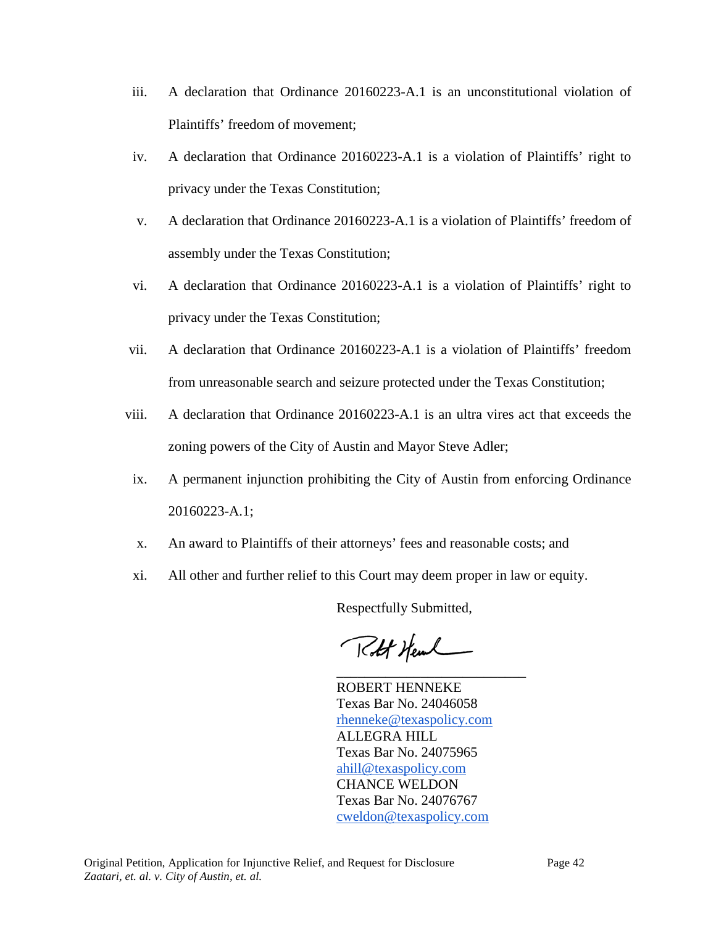- iii. A declaration that Ordinance 20160223-A.1 is an unconstitutional violation of Plaintiffs' freedom of movement;
- iv. A declaration that Ordinance 20160223-A.1 is a violation of Plaintiffs' right to privacy under the Texas Constitution;
- v. A declaration that Ordinance 20160223-A.1 is a violation of Plaintiffs' freedom of assembly under the Texas Constitution;
- vi. A declaration that Ordinance 20160223-A.1 is a violation of Plaintiffs' right to privacy under the Texas Constitution;
- vii. A declaration that Ordinance 20160223-A.1 is a violation of Plaintiffs' freedom from unreasonable search and seizure protected under the Texas Constitution;
- viii. A declaration that Ordinance 20160223-A.1 is an ultra vires act that exceeds the zoning powers of the City of Austin and Mayor Steve Adler;
- ix. A permanent injunction prohibiting the City of Austin from enforcing Ordinance 20160223-A.1;
- x. An award to Plaintiffs of their attorneys' fees and reasonable costs; and
- xi. All other and further relief to this Court may deem proper in law or equity.

Respectfully Submitted,

Rolt Heml

ROBERT HENNEKE Texas Bar No. 24046058 [rhenneke@texaspolicy.com](mailto:rhenneke@texaspolicy.com) ALLEGRA HILL Texas Bar No. 24075965 [ahill@texaspolicy.com](mailto:ahill@texaspolicy.com) CHANCE WELDON Texas Bar No. 24076767 [cweldon@texaspolicy.com](mailto:cweldon@texaspolicy.com)